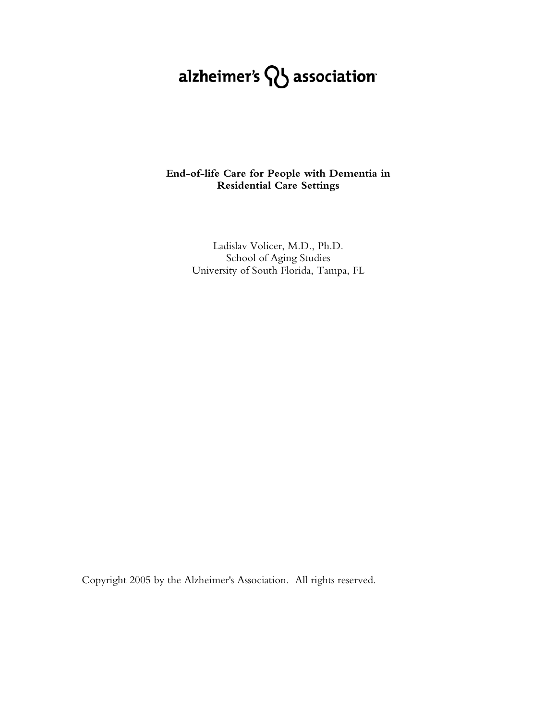# alzheimer's  $\mathcal{D}_b$  association

# **End-of-life Care for People with Dementia in Residential Care Settings**

Ladislav Volicer, M.D., Ph.D. School of Aging Studies University of South Florida, Tampa, FL

Copyright 2005 by the Alzheimer's Association. All rights reserved.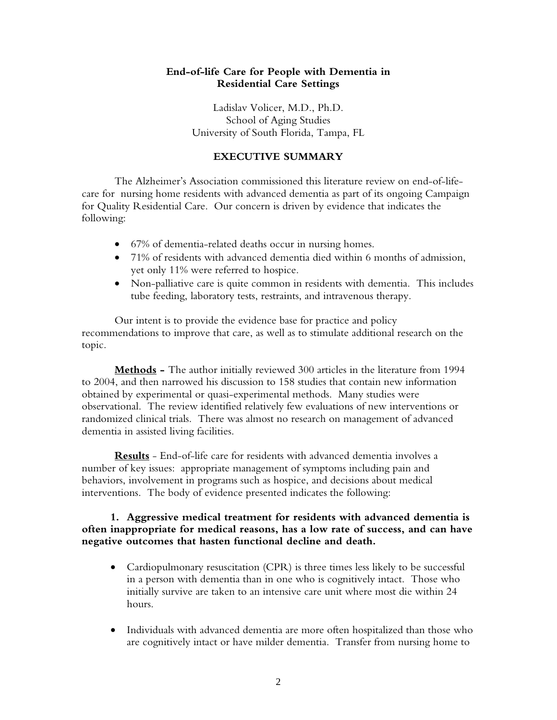# **End-of-life Care for People with Dementia in Residential Care Settings**

Ladislav Volicer, M.D., Ph.D. School of Aging Studies University of South Florida, Tampa, FL

## **EXECUTIVE SUMMARY**

The Alzheimer's Association commissioned this literature review on end-of-lifecare for nursing home residents with advanced dementia as part of its ongoing Campaign for Quality Residential Care. Our concern is driven by evidence that indicates the following:

- 67% of dementia-related deaths occur in nursing homes.
- 71% of residents with advanced dementia died within 6 months of admission, yet only 11% were referred to hospice.
- Non-palliative care is quite common in residents with dementia. This includes tube feeding, laboratory tests, restraints, and intravenous therapy.

Our intent is to provide the evidence base for practice and policy recommendations to improve that care, as well as to stimulate additional research on the topic.

**Methods -** The author initially reviewed 300 articles in the literature from 1994 to 2004, and then narrowed his discussion to 158 studies that contain new information obtained by experimental or quasi-experimental methods. Many studies were observational. The review identified relatively few evaluations of new interventions or randomized clinical trials. There was almost no research on management of advanced dementia in assisted living facilities.

**Results** - End-of-life care for residents with advanced dementia involves a number of key issues: appropriate management of symptoms including pain and behaviors, involvement in programs such as hospice, and decisions about medical interventions. The body of evidence presented indicates the following:

# **1. Aggressive medical treatment for residents with advanced dementia is often inappropriate for medical reasons, has a low rate of success, and can have negative outcomes that hasten functional decline and death.**

- Cardiopulmonary resuscitation (CPR) is three times less likely to be successful in a person with dementia than in one who is cognitively intact. Those who initially survive are taken to an intensive care unit where most die within 24 hours.
- Individuals with advanced dementia are more often hospitalized than those who are cognitively intact or have milder dementia. Transfer from nursing home to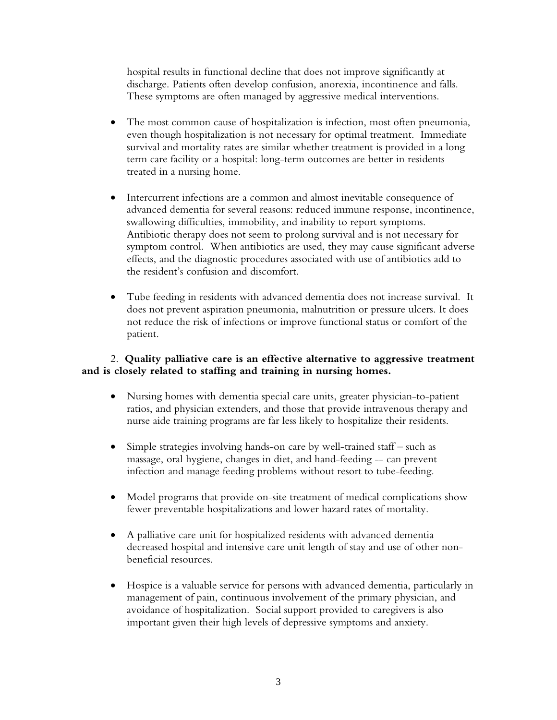hospital results in functional decline that does not improve significantly at discharge. Patients often develop confusion, anorexia, incontinence and falls. These symptoms are often managed by aggressive medical interventions.

- The most common cause of hospitalization is infection, most often pneumonia, even though hospitalization is not necessary for optimal treatment. Immediate survival and mortality rates are similar whether treatment is provided in a long term care facility or a hospital: long-term outcomes are better in residents treated in a nursing home.
- Intercurrent infections are a common and almost inevitable consequence of advanced dementia for several reasons: reduced immune response, incontinence, swallowing difficulties, immobility, and inability to report symptoms. Antibiotic therapy does not seem to prolong survival and is not necessary for symptom control. When antibiotics are used, they may cause significant adverse effects, and the diagnostic procedures associated with use of antibiotics add to the resident's confusion and discomfort.
- Tube feeding in residents with advanced dementia does not increase survival. It does not prevent aspiration pneumonia, malnutrition or pressure ulcers. It does not reduce the risk of infections or improve functional status or comfort of the patient.

# 2. **Quality palliative care is an effective alternative to aggressive treatment and is closely related to staffing and training in nursing homes.**

- Nursing homes with dementia special care units, greater physician-to-patient ratios, and physician extenders, and those that provide intravenous therapy and nurse aide training programs are far less likely to hospitalize their residents.
- Simple strategies involving hands-on care by well-trained staff such as massage, oral hygiene, changes in diet, and hand-feeding -- can prevent infection and manage feeding problems without resort to tube-feeding.
- Model programs that provide on-site treatment of medical complications show fewer preventable hospitalizations and lower hazard rates of mortality.
- A palliative care unit for hospitalized residents with advanced dementia decreased hospital and intensive care unit length of stay and use of other nonbeneficial resources.
- Hospice is a valuable service for persons with advanced dementia, particularly in management of pain, continuous involvement of the primary physician, and avoidance of hospitalization. Social support provided to caregivers is also important given their high levels of depressive symptoms and anxiety.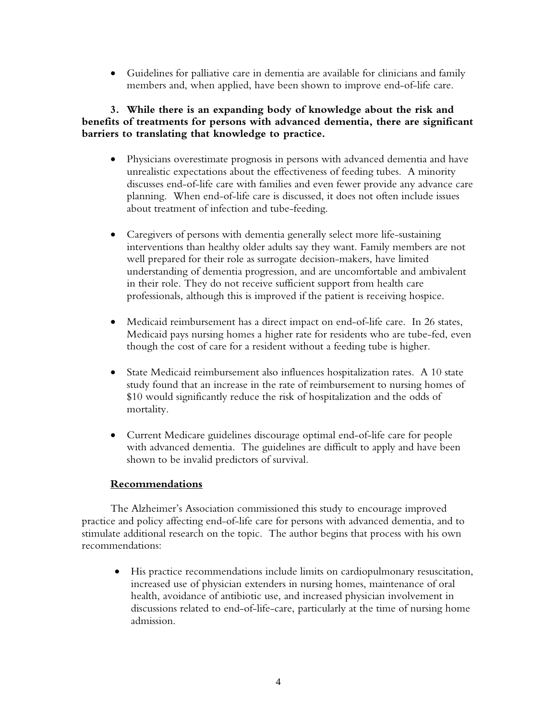• Guidelines for palliative care in dementia are available for clinicians and family members and, when applied, have been shown to improve end-of-life care.

# **3. While there is an expanding body of knowledge about the risk and benefits of treatments for persons with advanced dementia, there are significant barriers to translating that knowledge to practice.**

- Physicians overestimate prognosis in persons with advanced dementia and have unrealistic expectations about the effectiveness of feeding tubes. A minority discusses end-of-life care with families and even fewer provide any advance care planning. When end-of-life care is discussed, it does not often include issues about treatment of infection and tube-feeding.
- Caregivers of persons with dementia generally select more life-sustaining interventions than healthy older adults say they want. Family members are not well prepared for their role as surrogate decision-makers, have limited understanding of dementia progression, and are uncomfortable and ambivalent in their role. They do not receive sufficient support from health care professionals, although this is improved if the patient is receiving hospice.
- Medicaid reimbursement has a direct impact on end-of-life care. In 26 states, Medicaid pays nursing homes a higher rate for residents who are tube-fed, even though the cost of care for a resident without a feeding tube is higher.
- State Medicaid reimbursement also influences hospitalization rates. A 10 state study found that an increase in the rate of reimbursement to nursing homes of \$10 would significantly reduce the risk of hospitalization and the odds of mortality.
- Current Medicare guidelines discourage optimal end-of-life care for people with advanced dementia. The guidelines are difficult to apply and have been shown to be invalid predictors of survival.

# **Recommendations**

 The Alzheimer's Association commissioned this study to encourage improved practice and policy affecting end-of-life care for persons with advanced dementia, and to stimulate additional research on the topic. The author begins that process with his own recommendations:

• His practice recommendations include limits on cardiopulmonary resuscitation, increased use of physician extenders in nursing homes, maintenance of oral health, avoidance of antibiotic use, and increased physician involvement in discussions related to end-of-life-care, particularly at the time of nursing home admission.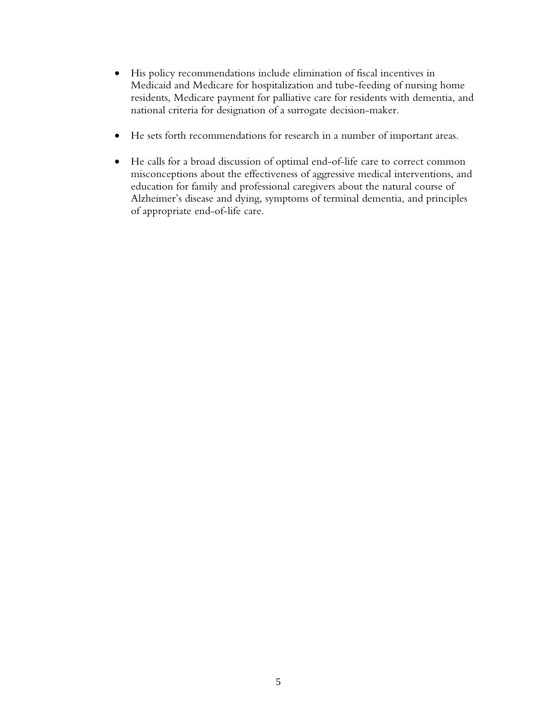- His policy recommendations include elimination of fiscal incentives in Medicaid and Medicare for hospitalization and tube-feeding of nursing home residents, Medicare payment for palliative care for residents with dementia, and national criteria for designation of a surrogate decision-maker.
- He sets forth recommendations for research in a number of important areas.
- He calls for a broad discussion of optimal end-of-life care to correct common misconceptions about the effectiveness of aggressive medical interventions, and education for family and professional caregivers about the natural course of Alzheimer's disease and dying, symptoms of terminal dementia, and principles of appropriate end-of-life care.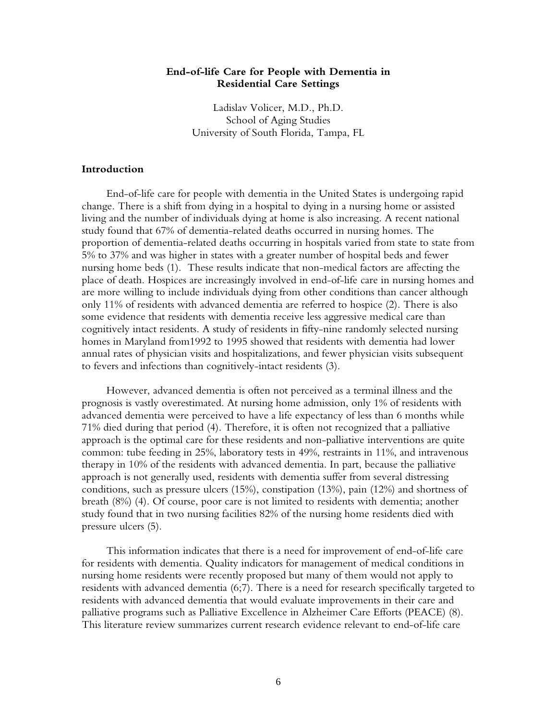## **End-of-life Care for People with Dementia in Residential Care Settings**

Ladislav Volicer, M.D., Ph.D. School of Aging Studies University of South Florida, Tampa, FL

#### **Introduction**

End-of-life care for people with dementia in the United States is undergoing rapid change. There is a shift from dying in a hospital to dying in a nursing home or assisted living and the number of individuals dying at home is also increasing. A recent national study found that 67% of dementia-related deaths occurred in nursing homes. The proportion of dementia-related deaths occurring in hospitals varied from state to state from 5% to 37% and was higher in states with a greater number of hospital beds and fewer nursing home beds (1). These results indicate that non-medical factors are affecting the place of death. Hospices are increasingly involved in end-of-life care in nursing homes and are more willing to include individuals dying from other conditions than cancer although only 11% of residents with advanced dementia are referred to hospice (2). There is also some evidence that residents with dementia receive less aggressive medical care than cognitively intact residents. A study of residents in fifty-nine randomly selected nursing homes in Maryland from1992 to 1995 showed that residents with dementia had lower annual rates of physician visits and hospitalizations, and fewer physician visits subsequent to fevers and infections than cognitively-intact residents (3).

However, advanced dementia is often not perceived as a terminal illness and the prognosis is vastly overestimated. At nursing home admission, only 1% of residents with advanced dementia were perceived to have a life expectancy of less than 6 months while 71% died during that period (4). Therefore, it is often not recognized that a palliative approach is the optimal care for these residents and non-palliative interventions are quite common: tube feeding in 25%, laboratory tests in 49%, restraints in 11%, and intravenous therapy in 10% of the residents with advanced dementia. In part, because the palliative approach is not generally used, residents with dementia suffer from several distressing conditions, such as pressure ulcers (15%), constipation (13%), pain (12%) and shortness of breath (8%) (4). Of course, poor care is not limited to residents with dementia; another study found that in two nursing facilities 82% of the nursing home residents died with pressure ulcers (5).

This information indicates that there is a need for improvement of end-of-life care for residents with dementia. Quality indicators for management of medical conditions in nursing home residents were recently proposed but many of them would not apply to residents with advanced dementia (6;7). There is a need for research specifically targeted to residents with advanced dementia that would evaluate improvements in their care and palliative programs such as Palliative Excellence in Alzheimer Care Efforts (PEACE) (8). This literature review summarizes current research evidence relevant to end-of-life care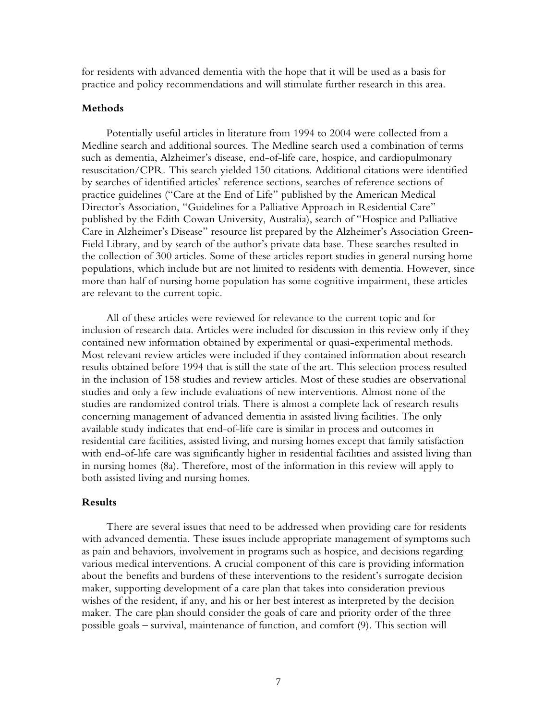for residents with advanced dementia with the hope that it will be used as a basis for practice and policy recommendations and will stimulate further research in this area.

#### **Methods**

Potentially useful articles in literature from 1994 to 2004 were collected from a Medline search and additional sources. The Medline search used a combination of terms such as dementia, Alzheimer's disease, end-of-life care, hospice, and cardiopulmonary resuscitation/CPR. This search yielded 150 citations. Additional citations were identified by searches of identified articles' reference sections, searches of reference sections of practice guidelines ("Care at the End of Life" published by the American Medical Director's Association, "Guidelines for a Palliative Approach in Residential Care" published by the Edith Cowan University, Australia), search of "Hospice and Palliative Care in Alzheimer's Disease" resource list prepared by the Alzheimer's Association Green-Field Library, and by search of the author's private data base. These searches resulted in the collection of 300 articles. Some of these articles report studies in general nursing home populations, which include but are not limited to residents with dementia. However, since more than half of nursing home population has some cognitive impairment, these articles are relevant to the current topic.

All of these articles were reviewed for relevance to the current topic and for inclusion of research data. Articles were included for discussion in this review only if they contained new information obtained by experimental or quasi-experimental methods. Most relevant review articles were included if they contained information about research results obtained before 1994 that is still the state of the art. This selection process resulted in the inclusion of 158 studies and review articles. Most of these studies are observational studies and only a few include evaluations of new interventions. Almost none of the studies are randomized control trials. There is almost a complete lack of research results concerning management of advanced dementia in assisted living facilities. The only available study indicates that end-of-life care is similar in process and outcomes in residential care facilities, assisted living, and nursing homes except that family satisfaction with end-of-life care was significantly higher in residential facilities and assisted living than in nursing homes (8a). Therefore, most of the information in this review will apply to both assisted living and nursing homes.

## **Results**

There are several issues that need to be addressed when providing care for residents with advanced dementia. These issues include appropriate management of symptoms such as pain and behaviors, involvement in programs such as hospice, and decisions regarding various medical interventions. A crucial component of this care is providing information about the benefits and burdens of these interventions to the resident's surrogate decision maker, supporting development of a care plan that takes into consideration previous wishes of the resident, if any, and his or her best interest as interpreted by the decision maker. The care plan should consider the goals of care and priority order of the three possible goals – survival, maintenance of function, and comfort (9). This section will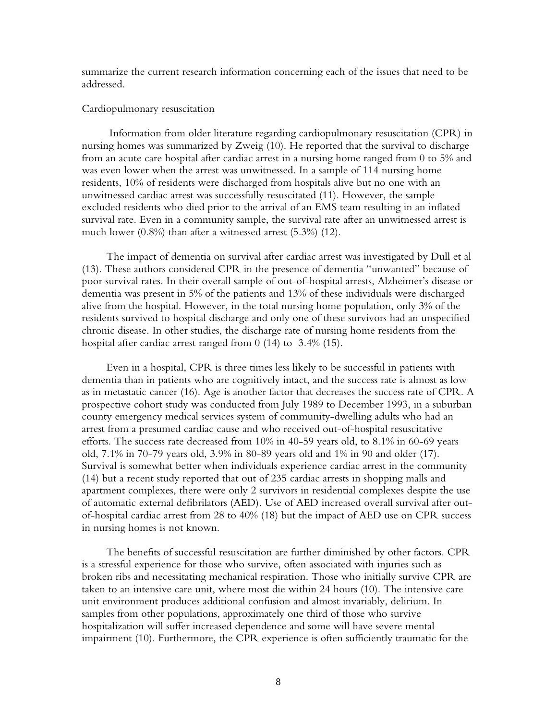summarize the current research information concerning each of the issues that need to be addressed.

#### Cardiopulmonary resuscitation

 Information from older literature regarding cardiopulmonary resuscitation (CPR) in nursing homes was summarized by Zweig (10). He reported that the survival to discharge from an acute care hospital after cardiac arrest in a nursing home ranged from 0 to 5% and was even lower when the arrest was unwitnessed. In a sample of 114 nursing home residents, 10% of residents were discharged from hospitals alive but no one with an unwitnessed cardiac arrest was successfully resuscitated (11). However, the sample excluded residents who died prior to the arrival of an EMS team resulting in an inflated survival rate. Even in a community sample, the survival rate after an unwitnessed arrest is much lower (0.8%) than after a witnessed arrest (5.3%) (12).

The impact of dementia on survival after cardiac arrest was investigated by Dull et al (13). These authors considered CPR in the presence of dementia "unwanted" because of poor survival rates. In their overall sample of out-of-hospital arrests, Alzheimer's disease or dementia was present in 5% of the patients and 13% of these individuals were discharged alive from the hospital. However, in the total nursing home population, only 3% of the residents survived to hospital discharge and only one of these survivors had an unspecified chronic disease. In other studies, the discharge rate of nursing home residents from the hospital after cardiac arrest ranged from 0 (14) to 3.4% (15).

Even in a hospital, CPR is three times less likely to be successful in patients with dementia than in patients who are cognitively intact, and the success rate is almost as low as in metastatic cancer (16). Age is another factor that decreases the success rate of CPR. A prospective cohort study was conducted from July 1989 to December 1993, in a suburban county emergency medical services system of community-dwelling adults who had an arrest from a presumed cardiac cause and who received out-of-hospital resuscitative efforts. The success rate decreased from 10% in 40-59 years old, to 8.1% in 60-69 years old, 7.1% in 70-79 years old, 3.9% in 80-89 years old and 1% in 90 and older (17). Survival is somewhat better when individuals experience cardiac arrest in the community (14) but a recent study reported that out of 235 cardiac arrests in shopping malls and apartment complexes, there were only 2 survivors in residential complexes despite the use of automatic external defibrilators (AED). Use of AED increased overall survival after outof-hospital cardiac arrest from 28 to 40% (18) but the impact of AED use on CPR success in nursing homes is not known.

The benefits of successful resuscitation are further diminished by other factors. CPR is a stressful experience for those who survive, often associated with injuries such as broken ribs and necessitating mechanical respiration. Those who initially survive CPR are taken to an intensive care unit, where most die within 24 hours (10). The intensive care unit environment produces additional confusion and almost invariably, delirium. In samples from other populations, approximately one third of those who survive hospitalization will suffer increased dependence and some will have severe mental impairment (10). Furthermore, the CPR experience is often sufficiently traumatic for the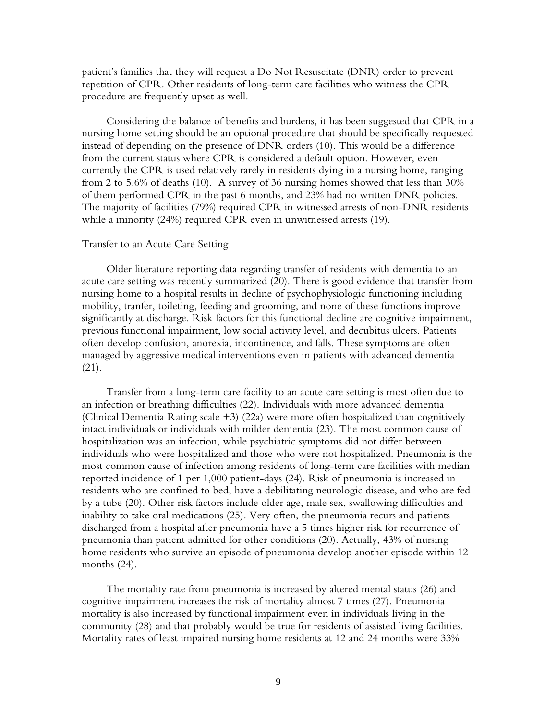patient's families that they will request a Do Not Resuscitate (DNR) order to prevent repetition of CPR. Other residents of long-term care facilities who witness the CPR procedure are frequently upset as well.

Considering the balance of benefits and burdens, it has been suggested that CPR in a nursing home setting should be an optional procedure that should be specifically requested instead of depending on the presence of DNR orders (10). This would be a difference from the current status where CPR is considered a default option. However, even currently the CPR is used relatively rarely in residents dying in a nursing home, ranging from 2 to 5.6% of deaths (10). A survey of 36 nursing homes showed that less than 30% of them performed CPR in the past 6 months, and 23% had no written DNR policies. The majority of facilities (79%) required CPR in witnessed arrests of non-DNR residents while a minority (24%) required CPR even in unwitnessed arrests (19).

#### Transfer to an Acute Care Setting

Older literature reporting data regarding transfer of residents with dementia to an acute care setting was recently summarized (20). There is good evidence that transfer from nursing home to a hospital results in decline of psychophysiologic functioning including mobility, tranfer, toileting, feeding and grooming, and none of these functions improve significantly at discharge. Risk factors for this functional decline are cognitive impairment, previous functional impairment, low social activity level, and decubitus ulcers. Patients often develop confusion, anorexia, incontinence, and falls. These symptoms are often managed by aggressive medical interventions even in patients with advanced dementia (21).

Transfer from a long-term care facility to an acute care setting is most often due to an infection or breathing difficulties (22). Individuals with more advanced dementia (Clinical Dementia Rating scale +3) (22a) were more often hospitalized than cognitively intact individuals or individuals with milder dementia (23). The most common cause of hospitalization was an infection, while psychiatric symptoms did not differ between individuals who were hospitalized and those who were not hospitalized. Pneumonia is the most common cause of infection among residents of long-term care facilities with median reported incidence of 1 per 1,000 patient-days (24). Risk of pneumonia is increased in residents who are confined to bed, have a debilitating neurologic disease, and who are fed by a tube (20). Other risk factors include older age, male sex, swallowing difficulties and inability to take oral medications (25). Very often, the pneumonia recurs and patients discharged from a hospital after pneumonia have a 5 times higher risk for recurrence of pneumonia than patient admitted for other conditions (20). Actually, 43% of nursing home residents who survive an episode of pneumonia develop another episode within 12 months (24).

The mortality rate from pneumonia is increased by altered mental status (26) and cognitive impairment increases the risk of mortality almost 7 times (27). Pneumonia mortality is also increased by functional impairment even in individuals living in the community (28) and that probably would be true for residents of assisted living facilities. Mortality rates of least impaired nursing home residents at 12 and 24 months were 33%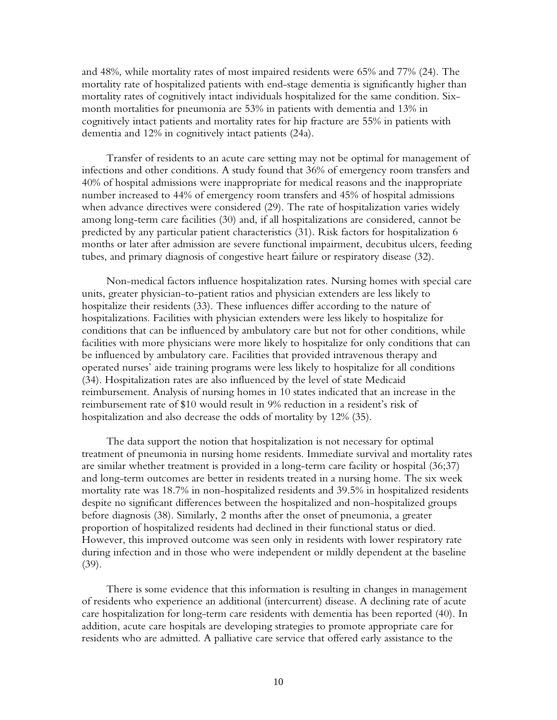and 48%, while mortality rates of most impaired residents were 65% and 77% (24). The mortality rate of hospitalized patients with end-stage dementia is significantly higher than mortality rates of cognitively intact individuals hospitalized for the same condition. Sixmonth mortalities for pneumonia are 53% in patients with dementia and 13% in cognitively intact patients and mortality rates for hip fracture are 55% in patients with dementia and 12% in cognitively intact patients (24a).

Transfer of residents to an acute care setting may not be optimal for management of infections and other conditions. A study found that 36% of emergency room transfers and 40% of hospital admissions were inappropriate for medical reasons and the inappropriate number increased to 44% of emergency room transfers and 45% of hospital admissions when advance directives were considered (29). The rate of hospitalization varies widely among long-term care facilities (30) and, if all hospitalizations are considered, cannot be predicted by any particular patient characteristics (31). Risk factors for hospitalization 6 months or later after admission are severe functional impairment, decubitus ulcers, feeding tubes, and primary diagnosis of congestive heart failure or respiratory disease (32).

Non-medical factors influence hospitalization rates. Nursing homes with special care units, greater physician-to-patient ratios and physician extenders are less likely to hospitalize their residents (33). These influences differ according to the nature of hospitalizations. Facilities with physician extenders were less likely to hospitalize for conditions that can be influenced by ambulatory care but not for other conditions, while facilities with more physicians were more likely to hospitalize for only conditions that can be influenced by ambulatory care. Facilities that provided intravenous therapy and operated nurses' aide training programs were less likely to hospitalize for all conditions (34). Hospitalization rates are also influenced by the level of state Medicaid reimbursement. Analysis of nursing homes in 10 states indicated that an increase in the reimbursement rate of \$10 would result in 9% reduction in a resident's risk of hospitalization and also decrease the odds of mortality by 12% (35).

The data support the notion that hospitalization is not necessary for optimal treatment of pneumonia in nursing home residents. Immediate survival and mortality rates are similar whether treatment is provided in a long-term care facility or hospital (36;37) and long-term outcomes are better in residents treated in a nursing home. The six week mortality rate was 18.7% in non-hospitalized residents and 39.5% in hospitalized residents despite no significant differences between the hospitalized and non-hospitalized groups before diagnosis (38). Similarly, 2 months after the onset of pneumonia, a greater proportion of hospitalized residents had declined in their functional status or died. However, this improved outcome was seen only in residents with lower respiratory rate during infection and in those who were independent or mildly dependent at the baseline (39).

There is some evidence that this information is resulting in changes in management of residents who experience an additional (intercurrent) disease. A declining rate of acute care hospitalization for long-term care residents with dementia has been reported (40). In addition, acute care hospitals are developing strategies to promote appropriate care for residents who are admitted. A palliative care service that offered early assistance to the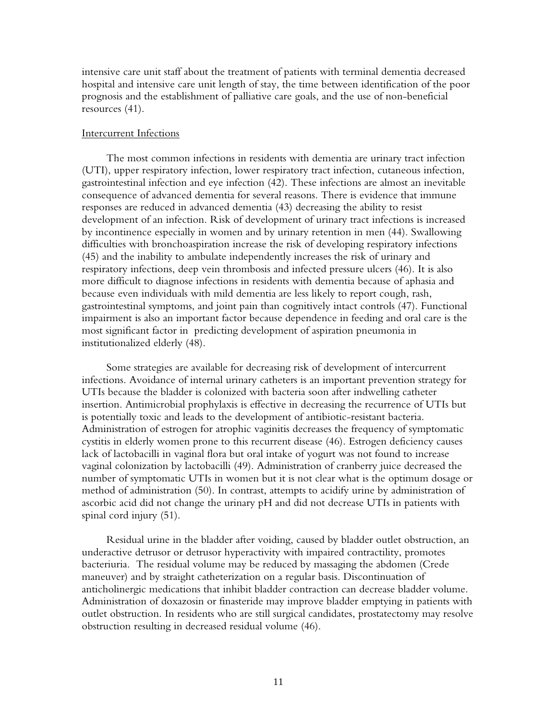intensive care unit staff about the treatment of patients with terminal dementia decreased hospital and intensive care unit length of stay, the time between identification of the poor prognosis and the establishment of palliative care goals, and the use of non-beneficial resources (41).

#### Intercurrent Infections

The most common infections in residents with dementia are urinary tract infection (UTI), upper respiratory infection, lower respiratory tract infection, cutaneous infection, gastrointestinal infection and eye infection (42). These infections are almost an inevitable consequence of advanced dementia for several reasons. There is evidence that immune responses are reduced in advanced dementia (43) decreasing the ability to resist development of an infection. Risk of development of urinary tract infections is increased by incontinence especially in women and by urinary retention in men (44). Swallowing difficulties with bronchoaspiration increase the risk of developing respiratory infections (45) and the inability to ambulate independently increases the risk of urinary and respiratory infections, deep vein thrombosis and infected pressure ulcers (46). It is also more difficult to diagnose infections in residents with dementia because of aphasia and because even individuals with mild dementia are less likely to report cough, rash, gastrointestinal symptoms, and joint pain than cognitively intact controls (47). Functional impairment is also an important factor because dependence in feeding and oral care is the most significant factor in predicting development of aspiration pneumonia in institutionalized elderly (48).

Some strategies are available for decreasing risk of development of intercurrent infections. Avoidance of internal urinary catheters is an important prevention strategy for UTIs because the bladder is colonized with bacteria soon after indwelling catheter insertion. Antimicrobial prophylaxis is effective in decreasing the recurrence of UTIs but is potentially toxic and leads to the development of antibiotic-resistant bacteria. Administration of estrogen for atrophic vaginitis decreases the frequency of symptomatic cystitis in elderly women prone to this recurrent disease (46). Estrogen deficiency causes lack of lactobacilli in vaginal flora but oral intake of yogurt was not found to increase vaginal colonization by lactobacilli (49). Administration of cranberry juice decreased the number of symptomatic UTIs in women but it is not clear what is the optimum dosage or method of administration (50). In contrast, attempts to acidify urine by administration of ascorbic acid did not change the urinary pH and did not decrease UTIs in patients with spinal cord injury (51).

Residual urine in the bladder after voiding, caused by bladder outlet obstruction, an underactive detrusor or detrusor hyperactivity with impaired contractility, promotes bacteriuria. The residual volume may be reduced by massaging the abdomen (Crede maneuver) and by straight catheterization on a regular basis. Discontinuation of anticholinergic medications that inhibit bladder contraction can decrease bladder volume. Administration of doxazosin or finasteride may improve bladder emptying in patients with outlet obstruction. In residents who are still surgical candidates, prostatectomy may resolve obstruction resulting in decreased residual volume (46).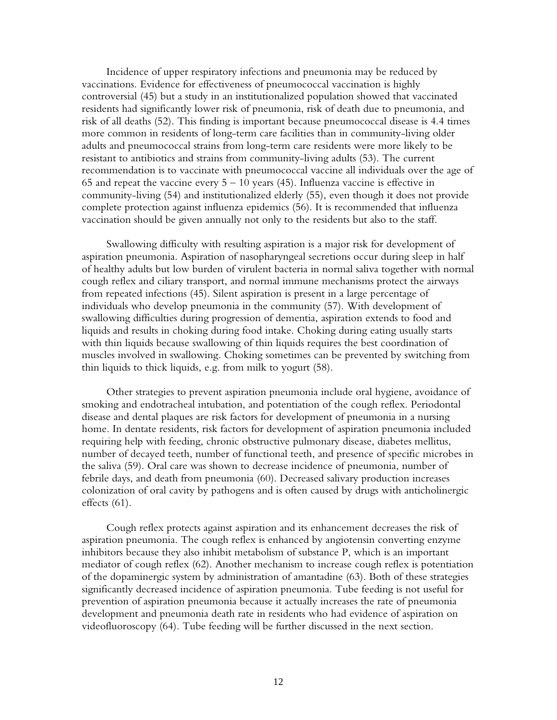Incidence of upper respiratory infections and pneumonia may be reduced by vaccinations. Evidence for effectiveness of pneumococcal vaccination is highly controversial (45) but a study in an institutionalized population showed that vaccinated residents had significantly lower risk of pneumonia, risk of death due to pneumonia, and risk of all deaths (52). This finding is important because pneumococcal disease is 4.4 times more common in residents of long-term care facilities than in community-living older adults and pneumococcal strains from long-term care residents were more likely to be resistant to antibiotics and strains from community-living adults (53). The current recommendation is to vaccinate with pneumococcal vaccine all individuals over the age of 65 and repeat the vaccine every  $5 - 10$  years (45). Influenza vaccine is effective in community-living (54) and institutionalized elderly (55), even though it does not provide complete protection against influenza epidemics (56). It is recommended that influenza vaccination should be given annually not only to the residents but also to the staff.

Swallowing difficulty with resulting aspiration is a major risk for development of aspiration pneumonia. Aspiration of nasopharyngeal secretions occur during sleep in half of healthy adults but low burden of virulent bacteria in normal saliva together with normal cough reflex and ciliary transport, and normal immune mechanisms protect the airways from repeated infections (45). Silent aspiration is present in a large percentage of individuals who develop pneumonia in the community (57). With development of swallowing difficulties during progression of dementia, aspiration extends to food and liquids and results in choking during food intake. Choking during eating usually starts with thin liquids because swallowing of thin liquids requires the best coordination of muscles involved in swallowing. Choking sometimes can be prevented by switching from thin liquids to thick liquids, e.g. from milk to yogurt (58).

Other strategies to prevent aspiration pneumonia include oral hygiene, avoidance of smoking and endotracheal intubation, and potentiation of the cough reflex. Periodontal disease and dental plaques are risk factors for development of pneumonia in a nursing home. In dentate residents, risk factors for development of aspiration pneumonia included requiring help with feeding, chronic obstructive pulmonary disease, diabetes mellitus, number of decayed teeth, number of functional teeth, and presence of specific microbes in the saliva (59). Oral care was shown to decrease incidence of pneumonia, number of febrile days, and death from pneumonia (60). Decreased salivary production increases colonization of oral cavity by pathogens and is often caused by drugs with anticholinergic effects (61).

Cough reflex protects against aspiration and its enhancement decreases the risk of aspiration pneumonia. The cough reflex is enhanced by angiotensin converting enzyme inhibitors because they also inhibit metabolism of substance P, which is an important mediator of cough reflex (62). Another mechanism to increase cough reflex is potentiation of the dopaminergic system by administration of amantadine (63). Both of these strategies significantly decreased incidence of aspiration pneumonia. Tube feeding is not useful for prevention of aspiration pneumonia because it actually increases the rate of pneumonia development and pneumonia death rate in residents who had evidence of aspiration on videofluoroscopy (64). Tube feeding will be further discussed in the next section.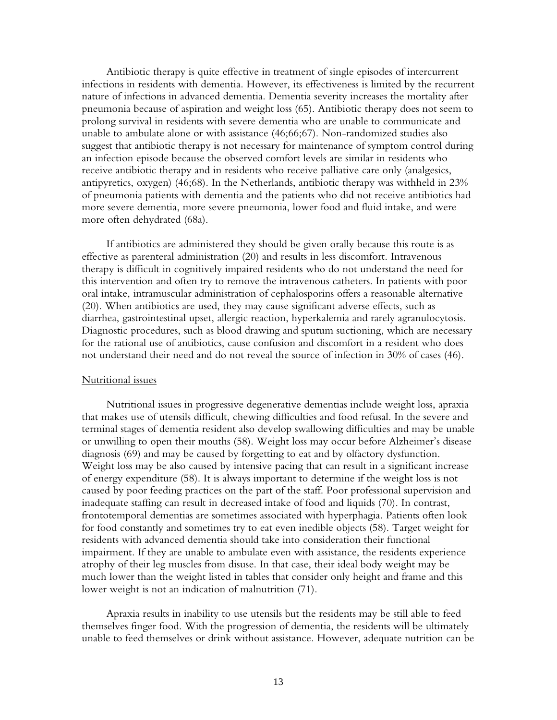Antibiotic therapy is quite effective in treatment of single episodes of intercurrent infections in residents with dementia. However, its effectiveness is limited by the recurrent nature of infections in advanced dementia. Dementia severity increases the mortality after pneumonia because of aspiration and weight loss (65). Antibiotic therapy does not seem to prolong survival in residents with severe dementia who are unable to communicate and unable to ambulate alone or with assistance (46;66;67). Non-randomized studies also suggest that antibiotic therapy is not necessary for maintenance of symptom control during an infection episode because the observed comfort levels are similar in residents who receive antibiotic therapy and in residents who receive palliative care only (analgesics, antipyretics, oxygen) (46;68). In the Netherlands, antibiotic therapy was withheld in 23% of pneumonia patients with dementia and the patients who did not receive antibiotics had more severe dementia, more severe pneumonia, lower food and fluid intake, and were more often dehydrated (68a).

If antibiotics are administered they should be given orally because this route is as effective as parenteral administration (20) and results in less discomfort. Intravenous therapy is difficult in cognitively impaired residents who do not understand the need for this intervention and often try to remove the intravenous catheters. In patients with poor oral intake, intramuscular administration of cephalosporins offers a reasonable alternative (20). When antibiotics are used, they may cause significant adverse effects, such as diarrhea, gastrointestinal upset, allergic reaction, hyperkalemia and rarely agranulocytosis. Diagnostic procedures, such as blood drawing and sputum suctioning, which are necessary for the rational use of antibiotics, cause confusion and discomfort in a resident who does not understand their need and do not reveal the source of infection in 30% of cases (46).

## Nutritional issues

Nutritional issues in progressive degenerative dementias include weight loss, apraxia that makes use of utensils difficult, chewing difficulties and food refusal. In the severe and terminal stages of dementia resident also develop swallowing difficulties and may be unable or unwilling to open their mouths (58). Weight loss may occur before Alzheimer's disease diagnosis (69) and may be caused by forgetting to eat and by olfactory dysfunction. Weight loss may be also caused by intensive pacing that can result in a significant increase of energy expenditure (58). It is always important to determine if the weight loss is not caused by poor feeding practices on the part of the staff. Poor professional supervision and inadequate staffing can result in decreased intake of food and liquids (70). In contrast, frontotemporal dementias are sometimes associated with hyperphagia. Patients often look for food constantly and sometimes try to eat even inedible objects (58). Target weight for residents with advanced dementia should take into consideration their functional impairment. If they are unable to ambulate even with assistance, the residents experience atrophy of their leg muscles from disuse. In that case, their ideal body weight may be much lower than the weight listed in tables that consider only height and frame and this lower weight is not an indication of malnutrition (71).

Apraxia results in inability to use utensils but the residents may be still able to feed themselves finger food. With the progression of dementia, the residents will be ultimately unable to feed themselves or drink without assistance. However, adequate nutrition can be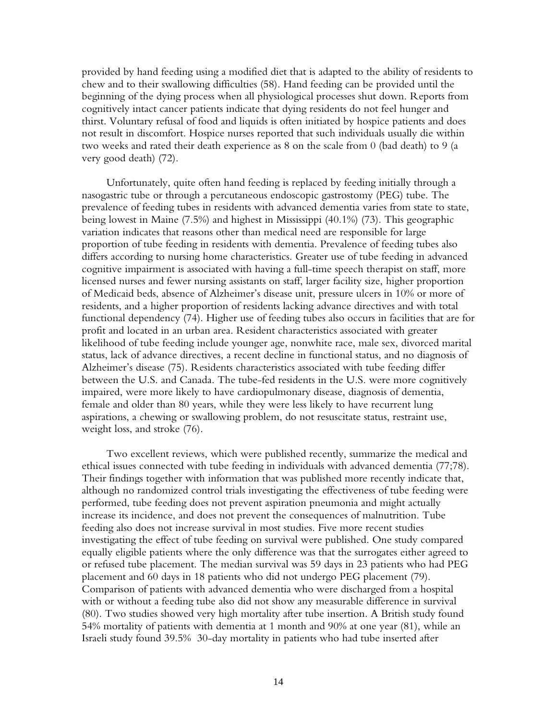provided by hand feeding using a modified diet that is adapted to the ability of residents to chew and to their swallowing difficulties (58). Hand feeding can be provided until the beginning of the dying process when all physiological processes shut down. Reports from cognitively intact cancer patients indicate that dying residents do not feel hunger and thirst. Voluntary refusal of food and liquids is often initiated by hospice patients and does not result in discomfort. Hospice nurses reported that such individuals usually die within two weeks and rated their death experience as 8 on the scale from 0 (bad death) to 9 (a very good death) (72).

Unfortunately, quite often hand feeding is replaced by feeding initially through a nasogastric tube or through a percutaneous endoscopic gastrostomy (PEG) tube. The prevalence of feeding tubes in residents with advanced dementia varies from state to state, being lowest in Maine (7.5%) and highest in Mississippi (40.1%) (73). This geographic variation indicates that reasons other than medical need are responsible for large proportion of tube feeding in residents with dementia. Prevalence of feeding tubes also differs according to nursing home characteristics. Greater use of tube feeding in advanced cognitive impairment is associated with having a full-time speech therapist on staff, more licensed nurses and fewer nursing assistants on staff, larger facility size, higher proportion of Medicaid beds, absence of Alzheimer's disease unit, pressure ulcers in 10% or more of residents, and a higher proportion of residents lacking advance directives and with total functional dependency (74). Higher use of feeding tubes also occurs in facilities that are for profit and located in an urban area. Resident characteristics associated with greater likelihood of tube feeding include younger age, nonwhite race, male sex, divorced marital status, lack of advance directives, a recent decline in functional status, and no diagnosis of Alzheimer's disease (75). Residents characteristics associated with tube feeding differ between the U.S. and Canada. The tube-fed residents in the U.S. were more cognitively impaired, were more likely to have cardiopulmonary disease, diagnosis of dementia, female and older than 80 years, while they were less likely to have recurrent lung aspirations, a chewing or swallowing problem, do not resuscitate status, restraint use, weight loss, and stroke (76).

Two excellent reviews, which were published recently, summarize the medical and ethical issues connected with tube feeding in individuals with advanced dementia (77;78). Their findings together with information that was published more recently indicate that, although no randomized control trials investigating the effectiveness of tube feeding were performed, tube feeding does not prevent aspiration pneumonia and might actually increase its incidence, and does not prevent the consequences of malnutrition. Tube feeding also does not increase survival in most studies. Five more recent studies investigating the effect of tube feeding on survival were published. One study compared equally eligible patients where the only difference was that the surrogates either agreed to or refused tube placement. The median survival was 59 days in 23 patients who had PEG placement and 60 days in 18 patients who did not undergo PEG placement (79). Comparison of patients with advanced dementia who were discharged from a hospital with or without a feeding tube also did not show any measurable difference in survival (80). Two studies showed very high mortality after tube insertion. A British study found 54% mortality of patients with dementia at 1 month and 90% at one year (81), while an Israeli study found 39.5% 30-day mortality in patients who had tube inserted after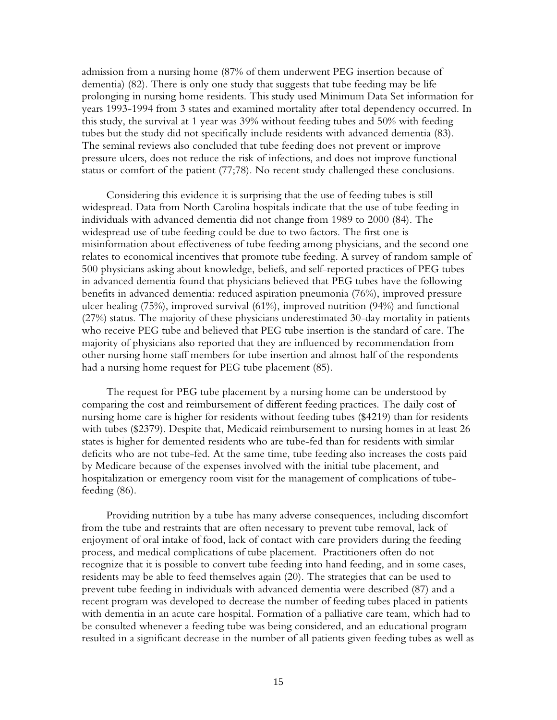admission from a nursing home (87% of them underwent PEG insertion because of dementia) (82). There is only one study that suggests that tube feeding may be life prolonging in nursing home residents. This study used Minimum Data Set information for years 1993-1994 from 3 states and examined mortality after total dependency occurred. In this study, the survival at 1 year was 39% without feeding tubes and 50% with feeding tubes but the study did not specifically include residents with advanced dementia (83). The seminal reviews also concluded that tube feeding does not prevent or improve pressure ulcers, does not reduce the risk of infections, and does not improve functional status or comfort of the patient (77;78). No recent study challenged these conclusions.

Considering this evidence it is surprising that the use of feeding tubes is still widespread. Data from North Carolina hospitals indicate that the use of tube feeding in individuals with advanced dementia did not change from 1989 to 2000 (84). The widespread use of tube feeding could be due to two factors. The first one is misinformation about effectiveness of tube feeding among physicians, and the second one relates to economical incentives that promote tube feeding. A survey of random sample of 500 physicians asking about knowledge, beliefs, and self-reported practices of PEG tubes in advanced dementia found that physicians believed that PEG tubes have the following benefits in advanced dementia: reduced aspiration pneumonia (76%), improved pressure ulcer healing (75%), improved survival (61%), improved nutrition (94%) and functional (27%) status. The majority of these physicians underestimated 30-day mortality in patients who receive PEG tube and believed that PEG tube insertion is the standard of care. The majority of physicians also reported that they are influenced by recommendation from other nursing home staff members for tube insertion and almost half of the respondents had a nursing home request for PEG tube placement (85).

The request for PEG tube placement by a nursing home can be understood by comparing the cost and reimbursement of different feeding practices. The daily cost of nursing home care is higher for residents without feeding tubes (\$4219) than for residents with tubes (\$2379). Despite that, Medicaid reimbursement to nursing homes in at least 26 states is higher for demented residents who are tube-fed than for residents with similar deficits who are not tube-fed. At the same time, tube feeding also increases the costs paid by Medicare because of the expenses involved with the initial tube placement, and hospitalization or emergency room visit for the management of complications of tubefeeding (86).

Providing nutrition by a tube has many adverse consequences, including discomfort from the tube and restraints that are often necessary to prevent tube removal, lack of enjoyment of oral intake of food, lack of contact with care providers during the feeding process, and medical complications of tube placement. Practitioners often do not recognize that it is possible to convert tube feeding into hand feeding, and in some cases, residents may be able to feed themselves again (20). The strategies that can be used to prevent tube feeding in individuals with advanced dementia were described (87) and a recent program was developed to decrease the number of feeding tubes placed in patients with dementia in an acute care hospital. Formation of a palliative care team, which had to be consulted whenever a feeding tube was being considered, and an educational program resulted in a significant decrease in the number of all patients given feeding tubes as well as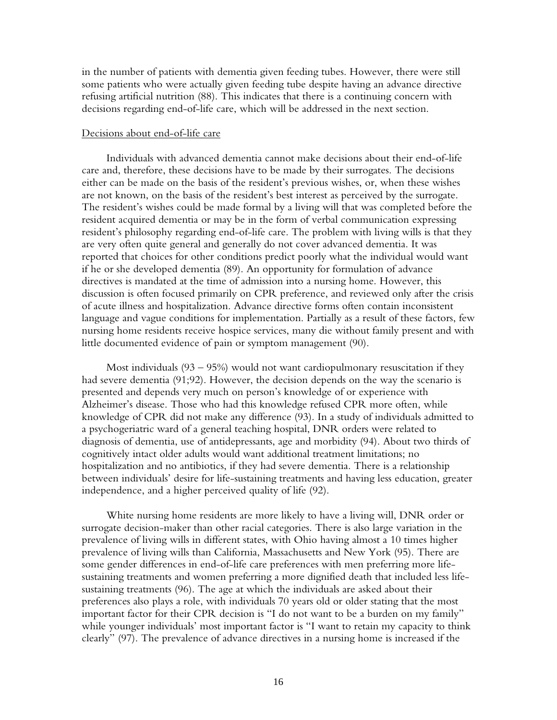in the number of patients with dementia given feeding tubes. However, there were still some patients who were actually given feeding tube despite having an advance directive refusing artificial nutrition (88). This indicates that there is a continuing concern with decisions regarding end-of-life care, which will be addressed in the next section.

#### Decisions about end-of-life care

Individuals with advanced dementia cannot make decisions about their end-of-life care and, therefore, these decisions have to be made by their surrogates. The decisions either can be made on the basis of the resident's previous wishes, or, when these wishes are not known, on the basis of the resident's best interest as perceived by the surrogate. The resident's wishes could be made formal by a living will that was completed before the resident acquired dementia or may be in the form of verbal communication expressing resident's philosophy regarding end-of-life care. The problem with living wills is that they are very often quite general and generally do not cover advanced dementia. It was reported that choices for other conditions predict poorly what the individual would want if he or she developed dementia (89). An opportunity for formulation of advance directives is mandated at the time of admission into a nursing home. However, this discussion is often focused primarily on CPR preference, and reviewed only after the crisis of acute illness and hospitalization. Advance directive forms often contain inconsistent language and vague conditions for implementation. Partially as a result of these factors, few nursing home residents receive hospice services, many die without family present and with little documented evidence of pain or symptom management (90).

Most individuals  $(93 - 95%)$  would not want cardiopulmonary resuscitation if they had severe dementia (91;92). However, the decision depends on the way the scenario is presented and depends very much on person's knowledge of or experience with Alzheimer's disease. Those who had this knowledge refused CPR more often, while knowledge of CPR did not make any difference (93). In a study of individuals admitted to a psychogeriatric ward of a general teaching hospital, DNR orders were related to diagnosis of dementia, use of antidepressants, age and morbidity (94). About two thirds of cognitively intact older adults would want additional treatment limitations; no hospitalization and no antibiotics, if they had severe dementia. There is a relationship between individuals' desire for life-sustaining treatments and having less education, greater independence, and a higher perceived quality of life (92).

White nursing home residents are more likely to have a living will, DNR order or surrogate decision-maker than other racial categories. There is also large variation in the prevalence of living wills in different states, with Ohio having almost a 10 times higher prevalence of living wills than California, Massachusetts and New York (95). There are some gender differences in end-of-life care preferences with men preferring more lifesustaining treatments and women preferring a more dignified death that included less lifesustaining treatments (96). The age at which the individuals are asked about their preferences also plays a role, with individuals 70 years old or older stating that the most important factor for their CPR decision is "I do not want to be a burden on my family" while younger individuals' most important factor is "I want to retain my capacity to think clearly" (97). The prevalence of advance directives in a nursing home is increased if the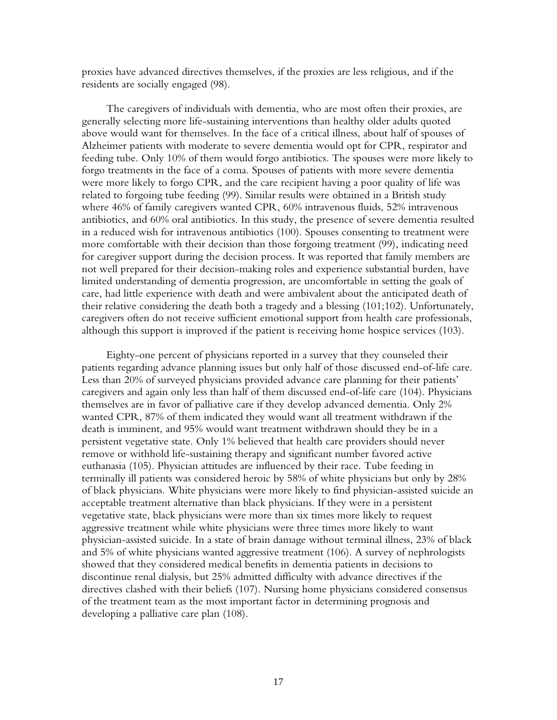proxies have advanced directives themselves, if the proxies are less religious, and if the residents are socially engaged (98).

The caregivers of individuals with dementia, who are most often their proxies, are generally selecting more life-sustaining interventions than healthy older adults quoted above would want for themselves. In the face of a critical illness, about half of spouses of Alzheimer patients with moderate to severe dementia would opt for CPR, respirator and feeding tube. Only 10% of them would forgo antibiotics. The spouses were more likely to forgo treatments in the face of a coma. Spouses of patients with more severe dementia were more likely to forgo CPR, and the care recipient having a poor quality of life was related to forgoing tube feeding (99). Similar results were obtained in a British study where 46% of family caregivers wanted CPR, 60% intravenous fluids, 52% intravenous antibiotics, and 60% oral antibiotics. In this study, the presence of severe dementia resulted in a reduced wish for intravenous antibiotics (100). Spouses consenting to treatment were more comfortable with their decision than those forgoing treatment (99), indicating need for caregiver support during the decision process. It was reported that family members are not well prepared for their decision-making roles and experience substantial burden, have limited understanding of dementia progression, are uncomfortable in setting the goals of care, had little experience with death and were ambivalent about the anticipated death of their relative considering the death both a tragedy and a blessing (101;102). Unfortunately, caregivers often do not receive sufficient emotional support from health care professionals, although this support is improved if the patient is receiving home hospice services (103).

Eighty-one percent of physicians reported in a survey that they counseled their patients regarding advance planning issues but only half of those discussed end-of-life care. Less than 20% of surveyed physicians provided advance care planning for their patients' caregivers and again only less than half of them discussed end-of-life care (104). Physicians themselves are in favor of palliative care if they develop advanced dementia. Only 2% wanted CPR, 87% of them indicated they would want all treatment withdrawn if the death is imminent, and 95% would want treatment withdrawn should they be in a persistent vegetative state. Only 1% believed that health care providers should never remove or withhold life-sustaining therapy and significant number favored active euthanasia (105). Physician attitudes are influenced by their race. Tube feeding in terminally ill patients was considered heroic by 58% of white physicians but only by 28% of black physicians. White physicians were more likely to find physician-assisted suicide an acceptable treatment alternative than black physicians. If they were in a persistent vegetative state, black physicians were more than six times more likely to request aggressive treatment while white physicians were three times more likely to want physician-assisted suicide. In a state of brain damage without terminal illness, 23% of black and 5% of white physicians wanted aggressive treatment (106). A survey of nephrologists showed that they considered medical benefits in dementia patients in decisions to discontinue renal dialysis, but 25% admitted difficulty with advance directives if the directives clashed with their beliefs (107). Nursing home physicians considered consensus of the treatment team as the most important factor in determining prognosis and developing a palliative care plan (108).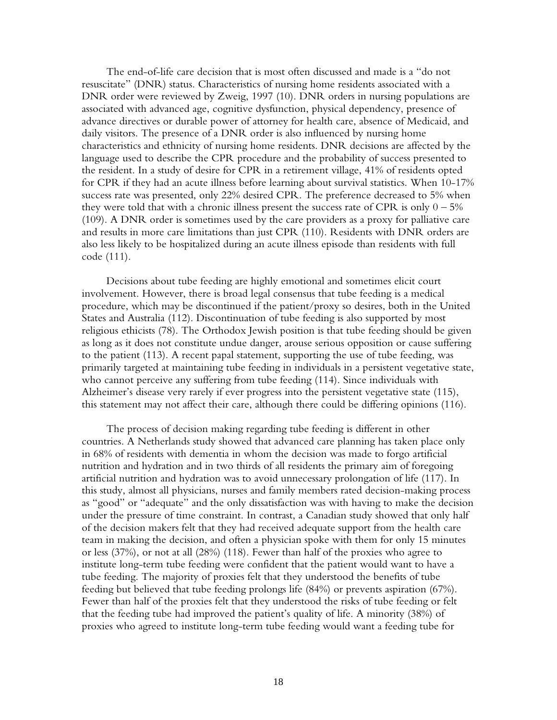The end-of-life care decision that is most often discussed and made is a "do not resuscitate" (DNR) status. Characteristics of nursing home residents associated with a DNR order were reviewed by Zweig, 1997 (10). DNR orders in nursing populations are associated with advanced age, cognitive dysfunction, physical dependency, presence of advance directives or durable power of attorney for health care, absence of Medicaid, and daily visitors. The presence of a DNR order is also influenced by nursing home characteristics and ethnicity of nursing home residents. DNR decisions are affected by the language used to describe the CPR procedure and the probability of success presented to the resident. In a study of desire for CPR in a retirement village, 41% of residents opted for CPR if they had an acute illness before learning about survival statistics. When 10-17% success rate was presented, only 22% desired CPR. The preference decreased to 5% when they were told that with a chronic illness present the success rate of CPR is only  $0 - 5\%$ (109). A DNR order is sometimes used by the care providers as a proxy for palliative care and results in more care limitations than just CPR (110). Residents with DNR orders are also less likely to be hospitalized during an acute illness episode than residents with full code (111).

Decisions about tube feeding are highly emotional and sometimes elicit court involvement. However, there is broad legal consensus that tube feeding is a medical procedure, which may be discontinued if the patient/proxy so desires, both in the United States and Australia (112). Discontinuation of tube feeding is also supported by most religious ethicists (78). The Orthodox Jewish position is that tube feeding should be given as long as it does not constitute undue danger, arouse serious opposition or cause suffering to the patient (113). A recent papal statement, supporting the use of tube feeding, was primarily targeted at maintaining tube feeding in individuals in a persistent vegetative state, who cannot perceive any suffering from tube feeding (114). Since individuals with Alzheimer's disease very rarely if ever progress into the persistent vegetative state (115), this statement may not affect their care, although there could be differing opinions (116).

The process of decision making regarding tube feeding is different in other countries. A Netherlands study showed that advanced care planning has taken place only in 68% of residents with dementia in whom the decision was made to forgo artificial nutrition and hydration and in two thirds of all residents the primary aim of foregoing artificial nutrition and hydration was to avoid unnecessary prolongation of life (117). In this study, almost all physicians, nurses and family members rated decision-making process as "good" or "adequate" and the only dissatisfaction was with having to make the decision under the pressure of time constraint. In contrast, a Canadian study showed that only half of the decision makers felt that they had received adequate support from the health care team in making the decision, and often a physician spoke with them for only 15 minutes or less (37%), or not at all (28%) (118). Fewer than half of the proxies who agree to institute long-term tube feeding were confident that the patient would want to have a tube feeding. The majority of proxies felt that they understood the benefits of tube feeding but believed that tube feeding prolongs life (84%) or prevents aspiration (67%). Fewer than half of the proxies felt that they understood the risks of tube feeding or felt that the feeding tube had improved the patient's quality of life. A minority (38%) of proxies who agreed to institute long-term tube feeding would want a feeding tube for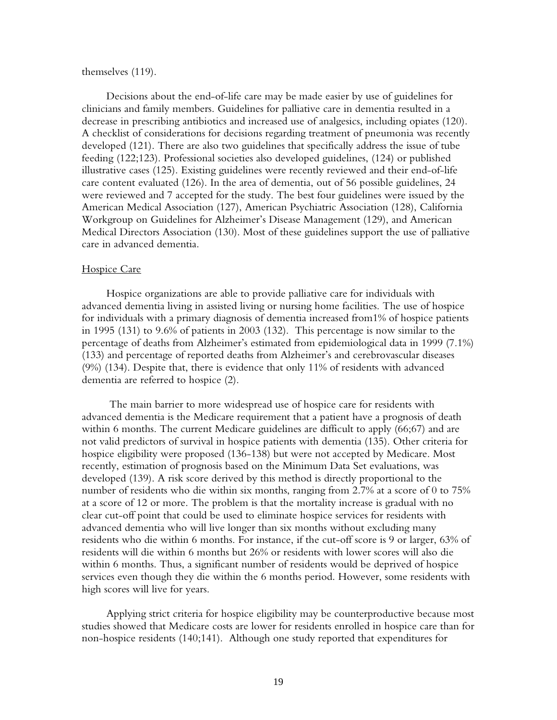#### themselves (119).

Decisions about the end-of-life care may be made easier by use of guidelines for clinicians and family members. Guidelines for palliative care in dementia resulted in a decrease in prescribing antibiotics and increased use of analgesics, including opiates (120). A checklist of considerations for decisions regarding treatment of pneumonia was recently developed (121). There are also two guidelines that specifically address the issue of tube feeding (122;123). Professional societies also developed guidelines, (124) or published illustrative cases (125). Existing guidelines were recently reviewed and their end-of-life care content evaluated (126). In the area of dementia, out of 56 possible guidelines, 24 were reviewed and 7 accepted for the study. The best four guidelines were issued by the American Medical Association (127), American Psychiatric Association (128), California Workgroup on Guidelines for Alzheimer's Disease Management (129), and American Medical Directors Association (130). Most of these guidelines support the use of palliative care in advanced dementia.

#### Hospice Care

Hospice organizations are able to provide palliative care for individuals with advanced dementia living in assisted living or nursing home facilities. The use of hospice for individuals with a primary diagnosis of dementia increased from1% of hospice patients in 1995 (131) to 9.6% of patients in 2003 (132). This percentage is now similar to the percentage of deaths from Alzheimer's estimated from epidemiological data in 1999 (7.1%) (133) and percentage of reported deaths from Alzheimer's and cerebrovascular diseases (9%) (134). Despite that, there is evidence that only 11% of residents with advanced dementia are referred to hospice (2).

 The main barrier to more widespread use of hospice care for residents with advanced dementia is the Medicare requirement that a patient have a prognosis of death within 6 months. The current Medicare guidelines are difficult to apply (66;67) and are not valid predictors of survival in hospice patients with dementia (135). Other criteria for hospice eligibility were proposed (136-138) but were not accepted by Medicare. Most recently, estimation of prognosis based on the Minimum Data Set evaluations, was developed (139). A risk score derived by this method is directly proportional to the number of residents who die within six months, ranging from 2.7% at a score of 0 to 75% at a score of 12 or more. The problem is that the mortality increase is gradual with no clear cut-off point that could be used to eliminate hospice services for residents with advanced dementia who will live longer than six months without excluding many residents who die within 6 months. For instance, if the cut-off score is 9 or larger, 63% of residents will die within 6 months but 26% or residents with lower scores will also die within 6 months. Thus, a significant number of residents would be deprived of hospice services even though they die within the 6 months period. However, some residents with high scores will live for years.

Applying strict criteria for hospice eligibility may be counterproductive because most studies showed that Medicare costs are lower for residents enrolled in hospice care than for non-hospice residents (140;141). Although one study reported that expenditures for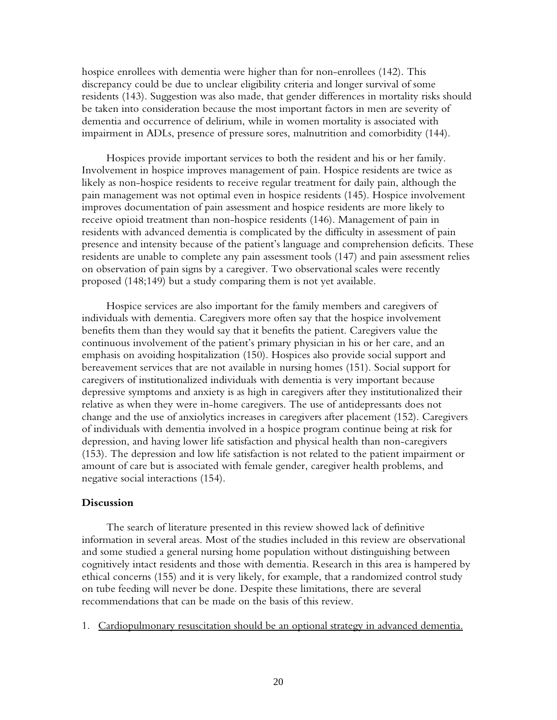hospice enrollees with dementia were higher than for non-enrollees (142). This discrepancy could be due to unclear eligibility criteria and longer survival of some residents (143). Suggestion was also made, that gender differences in mortality risks should be taken into consideration because the most important factors in men are severity of dementia and occurrence of delirium, while in women mortality is associated with impairment in ADLs, presence of pressure sores, malnutrition and comorbidity (144).

Hospices provide important services to both the resident and his or her family. Involvement in hospice improves management of pain. Hospice residents are twice as likely as non-hospice residents to receive regular treatment for daily pain, although the pain management was not optimal even in hospice residents (145). Hospice involvement improves documentation of pain assessment and hospice residents are more likely to receive opioid treatment than non-hospice residents (146). Management of pain in residents with advanced dementia is complicated by the difficulty in assessment of pain presence and intensity because of the patient's language and comprehension deficits. These residents are unable to complete any pain assessment tools (147) and pain assessment relies on observation of pain signs by a caregiver. Two observational scales were recently proposed (148;149) but a study comparing them is not yet available.

Hospice services are also important for the family members and caregivers of individuals with dementia. Caregivers more often say that the hospice involvement benefits them than they would say that it benefits the patient. Caregivers value the continuous involvement of the patient's primary physician in his or her care, and an emphasis on avoiding hospitalization (150). Hospices also provide social support and bereavement services that are not available in nursing homes (151). Social support for caregivers of institutionalized individuals with dementia is very important because depressive symptoms and anxiety is as high in caregivers after they institutionalized their relative as when they were in-home caregivers. The use of antidepressants does not change and the use of anxiolytics increases in caregivers after placement (152). Caregivers of individuals with dementia involved in a hospice program continue being at risk for depression, and having lower life satisfaction and physical health than non-caregivers (153). The depression and low life satisfaction is not related to the patient impairment or amount of care but is associated with female gender, caregiver health problems, and negative social interactions (154).

## **Discussion**

The search of literature presented in this review showed lack of definitive information in several areas. Most of the studies included in this review are observational and some studied a general nursing home population without distinguishing between cognitively intact residents and those with dementia. Research in this area is hampered by ethical concerns (155) and it is very likely, for example, that a randomized control study on tube feeding will never be done. Despite these limitations, there are several recommendations that can be made on the basis of this review.

1. Cardiopulmonary resuscitation should be an optional strategy in advanced dementia.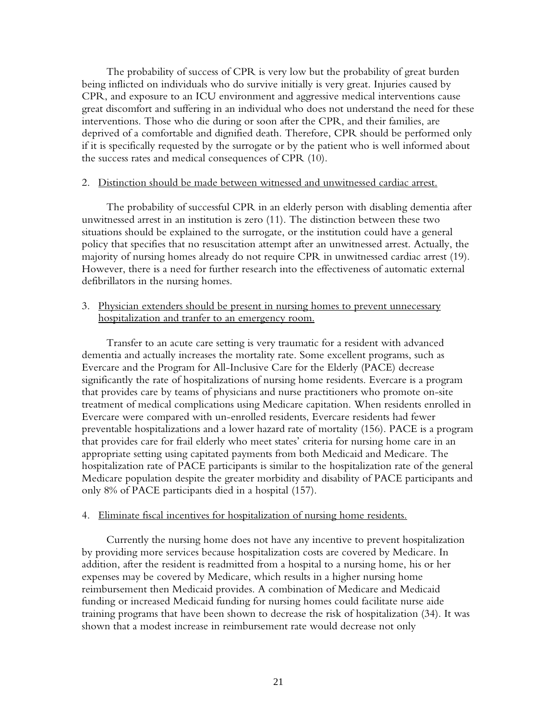The probability of success of CPR is very low but the probability of great burden being inflicted on individuals who do survive initially is very great. Injuries caused by CPR, and exposure to an ICU environment and aggressive medical interventions cause great discomfort and suffering in an individual who does not understand the need for these interventions. Those who die during or soon after the CPR, and their families, are deprived of a comfortable and dignified death. Therefore, CPR should be performed only if it is specifically requested by the surrogate or by the patient who is well informed about the success rates and medical consequences of CPR (10).

## 2. Distinction should be made between witnessed and unwitnessed cardiac arrest.

The probability of successful CPR in an elderly person with disabling dementia after unwitnessed arrest in an institution is zero (11). The distinction between these two situations should be explained to the surrogate, or the institution could have a general policy that specifies that no resuscitation attempt after an unwitnessed arrest. Actually, the majority of nursing homes already do not require CPR in unwitnessed cardiac arrest (19). However, there is a need for further research into the effectiveness of automatic external defibrillators in the nursing homes.

3. Physician extenders should be present in nursing homes to prevent unnecessary hospitalization and tranfer to an emergency room.

Transfer to an acute care setting is very traumatic for a resident with advanced dementia and actually increases the mortality rate. Some excellent programs, such as Evercare and the Program for All-Inclusive Care for the Elderly (PACE) decrease significantly the rate of hospitalizations of nursing home residents. Evercare is a program that provides care by teams of physicians and nurse practitioners who promote on-site treatment of medical complications using Medicare capitation. When residents enrolled in Evercare were compared with un-enrolled residents, Evercare residents had fewer preventable hospitalizations and a lower hazard rate of mortality (156). PACE is a program that provides care for frail elderly who meet states' criteria for nursing home care in an appropriate setting using capitated payments from both Medicaid and Medicare. The hospitalization rate of PACE participants is similar to the hospitalization rate of the general Medicare population despite the greater morbidity and disability of PACE participants and only 8% of PACE participants died in a hospital (157).

## 4. Eliminate fiscal incentives for hospitalization of nursing home residents.

Currently the nursing home does not have any incentive to prevent hospitalization by providing more services because hospitalization costs are covered by Medicare. In addition, after the resident is readmitted from a hospital to a nursing home, his or her expenses may be covered by Medicare, which results in a higher nursing home reimbursement then Medicaid provides. A combination of Medicare and Medicaid funding or increased Medicaid funding for nursing homes could facilitate nurse aide training programs that have been shown to decrease the risk of hospitalization (34). It was shown that a modest increase in reimbursement rate would decrease not only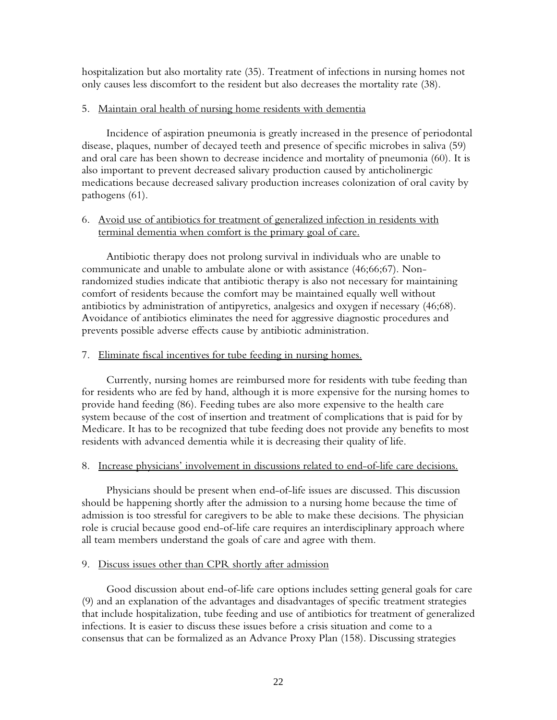hospitalization but also mortality rate (35). Treatment of infections in nursing homes not only causes less discomfort to the resident but also decreases the mortality rate (38).

## 5. Maintain oral health of nursing home residents with dementia

Incidence of aspiration pneumonia is greatly increased in the presence of periodontal disease, plaques, number of decayed teeth and presence of specific microbes in saliva (59) and oral care has been shown to decrease incidence and mortality of pneumonia (60). It is also important to prevent decreased salivary production caused by anticholinergic medications because decreased salivary production increases colonization of oral cavity by pathogens (61).

# 6. Avoid use of antibiotics for treatment of generalized infection in residents with terminal dementia when comfort is the primary goal of care.

Antibiotic therapy does not prolong survival in individuals who are unable to communicate and unable to ambulate alone or with assistance (46;66;67). Nonrandomized studies indicate that antibiotic therapy is also not necessary for maintaining comfort of residents because the comfort may be maintained equally well without antibiotics by administration of antipyretics, analgesics and oxygen if necessary (46;68). Avoidance of antibiotics eliminates the need for aggressive diagnostic procedures and prevents possible adverse effects cause by antibiotic administration.

# 7. Eliminate fiscal incentives for tube feeding in nursing homes.

Currently, nursing homes are reimbursed more for residents with tube feeding than for residents who are fed by hand, although it is more expensive for the nursing homes to provide hand feeding (86). Feeding tubes are also more expensive to the health care system because of the cost of insertion and treatment of complications that is paid for by Medicare. It has to be recognized that tube feeding does not provide any benefits to most residents with advanced dementia while it is decreasing their quality of life.

## 8. Increase physicians' involvement in discussions related to end-of-life care decisions.

Physicians should be present when end-of-life issues are discussed. This discussion should be happening shortly after the admission to a nursing home because the time of admission is too stressful for caregivers to be able to make these decisions. The physician role is crucial because good end-of-life care requires an interdisciplinary approach where all team members understand the goals of care and agree with them.

# 9. Discuss issues other than CPR shortly after admission

Good discussion about end-of-life care options includes setting general goals for care (9) and an explanation of the advantages and disadvantages of specific treatment strategies that include hospitalization, tube feeding and use of antibiotics for treatment of generalized infections. It is easier to discuss these issues before a crisis situation and come to a consensus that can be formalized as an Advance Proxy Plan (158). Discussing strategies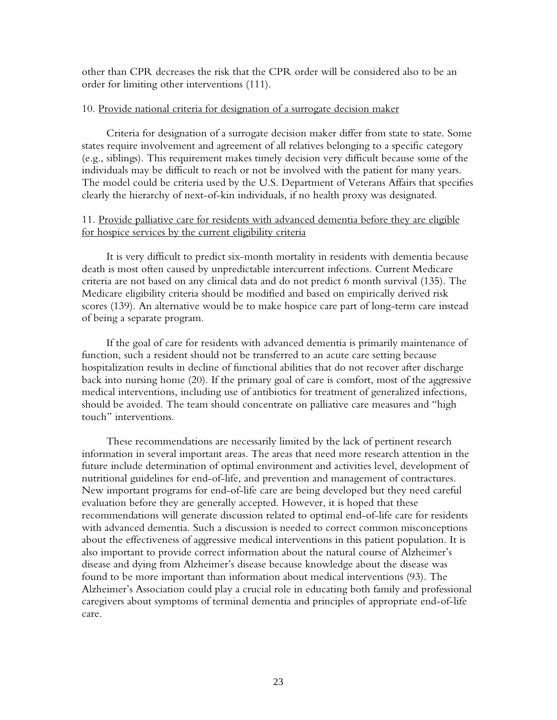other than CPR decreases the risk that the CPR order will be considered also to be an order for limiting other interventions (111).

## 10. Provide national criteria for designation of a surrogate decision maker

Criteria for designation of a surrogate decision maker differ from state to state. Some states require involvement and agreement of all relatives belonging to a specific category (e.g., siblings). This requirement makes timely decision very difficult because some of the individuals may be difficult to reach or not be involved with the patient for many years. The model could be criteria used by the U.S. Department of Veterans Affairs that specifies clearly the hierarchy of next-of-kin individuals, if no health proxy was designated.

# 11. Provide palliative care for residents with advanced dementia before they are eligible for hospice services by the current eligibility criteria

It is very difficult to predict six-month mortality in residents with dementia because death is most often caused by unpredictable intercurrent infections. Current Medicare criteria are not based on any clinical data and do not predict 6 month survival (135). The Medicare eligibility criteria should be modified and based on empirically derived risk scores (139). An alternative would be to make hospice care part of long-term care instead of being a separate program.

If the goal of care for residents with advanced dementia is primarily maintenance of function, such a resident should not be transferred to an acute care setting because hospitalization results in decline of functional abilities that do not recover after discharge back into nursing home (20). If the primary goal of care is comfort, most of the aggressive medical interventions, including use of antibiotics for treatment of generalized infections, should be avoided. The team should concentrate on palliative care measures and "high touch" interventions.

These recommendations are necessarily limited by the lack of pertinent research information in several important areas. The areas that need more research attention in the future include determination of optimal environment and activities level, development of nutritional guidelines for end-of-life, and prevention and management of contractures. New important programs for end-of-life care are being developed but they need careful evaluation before they are generally accepted. However, it is hoped that these recommendations will generate discussion related to optimal end-of-life care for residents with advanced dementia. Such a discussion is needed to correct common misconceptions about the effectiveness of aggressive medical interventions in this patient population. It is also important to provide correct information about the natural course of Alzheimer's disease and dying from Alzheimer's disease because knowledge about the disease was found to be more important than information about medical interventions (93). The Alzheimer's Association could play a crucial role in educating both family and professional caregivers about symptoms of terminal dementia and principles of appropriate end-of-life care.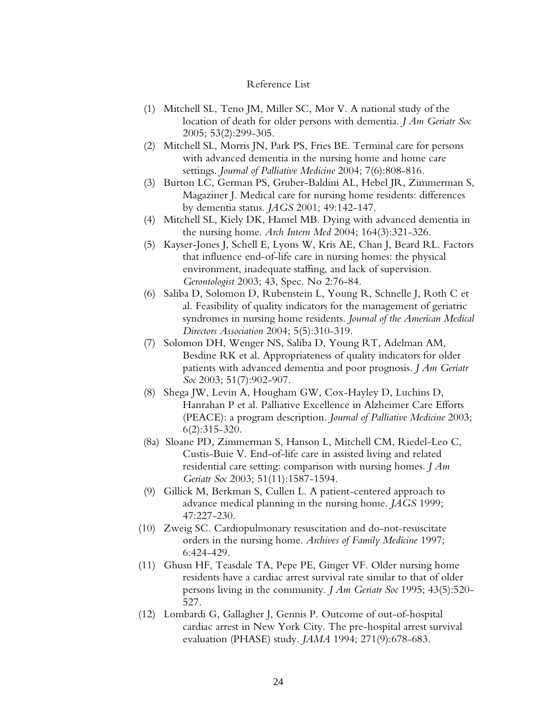#### Reference List

- (1) Mitchell SL, Teno JM, Miller SC, Mor V. A national study of the location of death for older persons with dementia. *J Am Geriatr Soc* 2005; 53(2):299-305.
- (2) Mitchell SL, Morris JN, Park PS, Fries BE. Terminal care for persons with advanced dementia in the nursing home and home care settings. *Journal of Palliative Medicine* 2004; 7(6):808-816.
- (3) Burton LC, German PS, Gruber-Baldini AL, Hebel JR, Zimmerman S, Magaziner J. Medical care for nursing home residents: differences by dementia status. *JAGS* 2001; 49:142-147.
- (4) Mitchell SL, Kiely DK, Hamel MB. Dying with advanced dementia in the nursing home. *Arch Intern Med* 2004; 164(3):321-326.
- (5) Kayser-Jones J, Schell E, Lyons W, Kris AE, Chan J, Beard RL. Factors that influence end-of-life care in nursing homes: the physical environment, inadequate staffing, and lack of supervision. *Gerontologist* 2003; 43, Spec. No 2:76-84.
- (6) Saliba D, Solomon D, Rubenstein L, Young R, Schnelle J, Roth C et al. Feasibility of quality indicators for the management of geriatric syndromes in nursing home residents. *Journal of the American Medical Directors Association* 2004; 5(5):310-319.
- (7) Solomon DH, Wenger NS, Saliba D, Young RT, Adelman AM, Besdine RK et al. Appropriateness of quality indicators for older patients with advanced dementia and poor prognosis. *J Am Geriatr Soc* 2003; 51(7):902-907.
- (8) Shega JW, Levin A, Hougham GW, Cox-Hayley D, Luchins D, Hanrahan P et al. Palliative Excellence in Alzheimer Care Efforts (PEACE): a program description. *Journal of Palliative Medicine* 2003; 6(2):315-320.
- (8a) Sloane PD, Zimmerman S, Hanson L, Mitchell CM, Riedel-Leo C, Custis-Buie V. End-of-life care in assisted living and related residential care setting: comparison with nursing homes. *J Am Geriatr Soc* 2003; 51(11):1587-1594.
- (9) Gillick M, Berkman S, Cullen L. A patient-centered approach to advance medical planning in the nursing home. *JAGS* 1999; 47:227-230.
- (10) Zweig SC. Cardiopulmonary resuscitation and do-not-resuscitate orders in the nursing home. *Archives of Family Medicine* 1997; 6:424-429.
- (11) Ghusn HF, Teasdale TA, Pepe PE, Ginger VF. Older nursing home residents have a cardiac arrest survival rate similar to that of older persons living in the community. *J Am Geriatr Soc* 1995; 43(5):520- 527.
- (12) Lombardi G, Gallagher J, Gennis P. Outcome of out-of-hospital cardiac arrest in New York City. The pre-hospital arrest survival evaluation (PHASE) study. *JAMA* 1994; 271(9):678-683.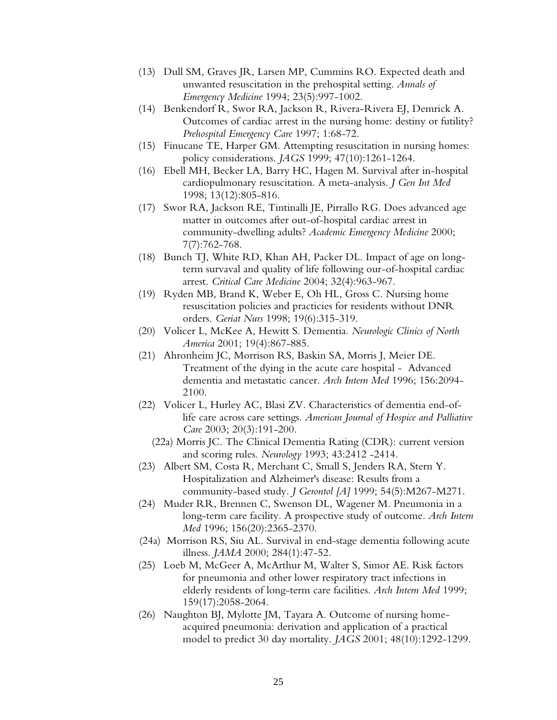- (13) Dull SM, Graves JR, Larsen MP, Cummins RO. Expected death and unwanted resuscitation in the prehospital setting. *Annals of Emergency Medicine* 1994; 23(5):997-1002.
- (14) Benkendorf R, Swor RA, Jackson R, Rivera-Rivera EJ, Demrick A. Outcomes of cardiac arrest in the nursing home: destiny or futility? *Prehospital Emergency Care* 1997; 1:68-72.
- (15) Finucane TE, Harper GM. Attempting resuscitation in nursing homes: policy considerations. *JAGS* 1999; 47(10):1261-1264.
- (16) Ebell MH, Becker LA, Barry HC, Hagen M. Survival after in-hospital cardiopulmonary resuscitation. A meta-analysis. *J Gen Int Med* 1998; 13(12):805-816.
- (17) Swor RA, Jackson RE, Tintinalli JE, Pirrallo RG. Does advanced age matter in outcomes after out-of-hospital cardiac arrest in community-dwelling adults? *Academic Emergency Medicine* 2000; 7(7):762-768.
- (18) Bunch TJ, White RD, Khan AH, Packer DL. Impact of age on longterm survaval and quality of life following our-of-hospital cardiac arrest. *Critical Care Medicine* 2004; 32(4):963-967.
- (19) Ryden MB, Brand K, Weber E, Oh HL, Gross C. Nursing home resuscitation policies and practicies for residents without DNR orders. *Geriat Nurs* 1998; 19(6):315-319.
- (20) Volicer L, McKee A, Hewitt S. Dementia. *Neurologic Clinics of North America* 2001; 19(4):867-885.
- (21) Ahronheim JC, Morrison RS, Baskin SA, Morris J, Meier DE. Treatment of the dying in the acute care hospital - Advanced dementia and metastatic cancer. *Arch Intern Med* 1996; 156:2094- 2100.
- (22) Volicer L, Hurley AC, Blasi ZV. Characteristics of dementia end-oflife care across care settings. *American Journal of Hospice and Palliative Care* 2003; 20(3):191-200.
	- (22a) Morris JC. The Clinical Dementia Rating (CDR): current version and scoring rules. *Neurology* 1993; 43:2412 -2414.
- (23) Albert SM, Costa R, Merchant C, Small S, Jenders RA, Stern Y. Hospitalization and Alzheimer's disease: Results from a community-based study. *J Gerontol [A]* 1999; 54(5):M267-M271.
- (24) Muder RR, Brennen C, Swenson DL, Wagener M. Pneumonia in a long-term care facility. A prospective study of outcome. *Arch Intern Med* 1996; 156(20):2365-2370.
- (24a) Morrison RS, Siu AL. Survival in end-stage dementia following acute illness. *JAMA* 2000; 284(1):47-52.
- (25) Loeb M, McGeer A, McArthur M, Walter S, Simor AE. Risk factors for pneumonia and other lower respiratory tract infections in elderly residents of long-term care facilities. *Arch Intern Med* 1999; 159(17):2058-2064.
- (26) Naughton BJ, Mylotte JM, Tayara A. Outcome of nursing homeacquired pneumonia: derivation and application of a practical model to predict 30 day mortality. *JAGS* 2001; 48(10):1292-1299.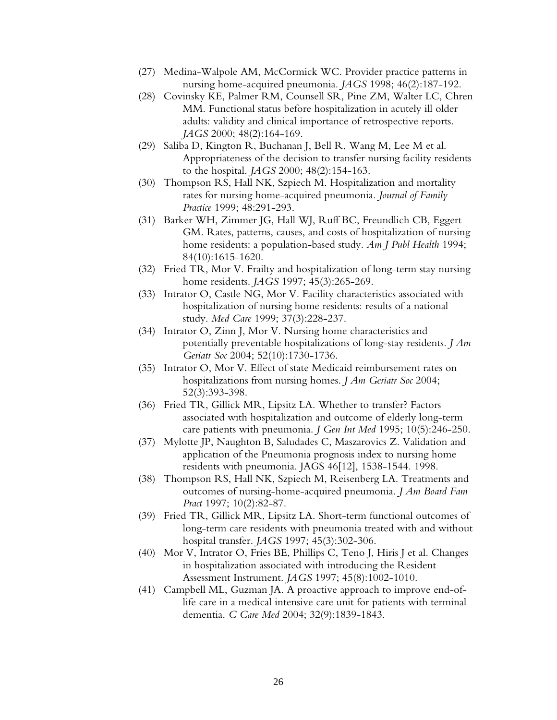- (27) Medina-Walpole AM, McCormick WC. Provider practice patterns in nursing home-acquired pneumonia. *JAGS* 1998; 46(2):187-192.
- (28) Covinsky KE, Palmer RM, Counsell SR, Pine ZM, Walter LC, Chren MM. Functional status before hospitalization in acutely ill older adults: validity and clinical importance of retrospective reports. *JAGS* 2000; 48(2):164-169.
- (29) Saliba D, Kington R, Buchanan J, Bell R, Wang M, Lee M et al. Appropriateness of the decision to transfer nursing facility residents to the hospital. *JAGS* 2000; 48(2):154-163.
- (30) Thompson RS, Hall NK, Szpiech M. Hospitalization and mortality rates for nursing home-acquired pneumonia. *Journal of Family Practice* 1999; 48:291-293.
- (31) Barker WH, Zimmer JG, Hall WJ, Ruff BC, Freundlich CB, Eggert GM. Rates, patterns, causes, and costs of hospitalization of nursing home residents: a population-based study. *Am J Publ Health* 1994; 84(10):1615-1620.
- (32) Fried TR, Mor V. Frailty and hospitalization of long-term stay nursing home residents. *JAGS* 1997; 45(3):265-269.
- (33) Intrator O, Castle NG, Mor V. Facility characteristics associated with hospitalization of nursing home residents: results of a national study. *Med Care* 1999; 37(3):228-237.
- (34) Intrator O, Zinn J, Mor V. Nursing home characteristics and potentially preventable hospitalizations of long-stay residents. *J Am Geriatr Soc* 2004; 52(10):1730-1736.
- (35) Intrator O, Mor V. Effect of state Medicaid reimbursement rates on hospitalizations from nursing homes. *J Am Geriatr Soc* 2004; 52(3):393-398.
- (36) Fried TR, Gillick MR, Lipsitz LA. Whether to transfer? Factors associated with hospitalization and outcome of elderly long-term care patients with pneumonia. *J Gen Int Med* 1995; 10(5):246-250.
- (37) Mylotte JP, Naughton B, Saludades C, Maszarovics Z. Validation and application of the Pneumonia prognosis index to nursing home residents with pneumonia. JAGS 46[12], 1538-1544. 1998.
- (38) Thompson RS, Hall NK, Szpiech M, Reisenberg LA. Treatments and outcomes of nursing-home-acquired pneumonia. *J Am Board Fam Pract* 1997; 10(2):82-87.
- (39) Fried TR, Gillick MR, Lipsitz LA. Short-term functional outcomes of long-term care residents with pneumonia treated with and without hospital transfer. *JAGS* 1997; 45(3):302-306.
- (40) Mor V, Intrator O, Fries BE, Phillips C, Teno J, Hiris J et al. Changes in hospitalization associated with introducing the Resident Assessment Instrument. *JAGS* 1997; 45(8):1002-1010.
- (41) Campbell ML, Guzman JA. A proactive approach to improve end-oflife care in a medical intensive care unit for patients with terminal dementia. *C Care Med* 2004; 32(9):1839-1843.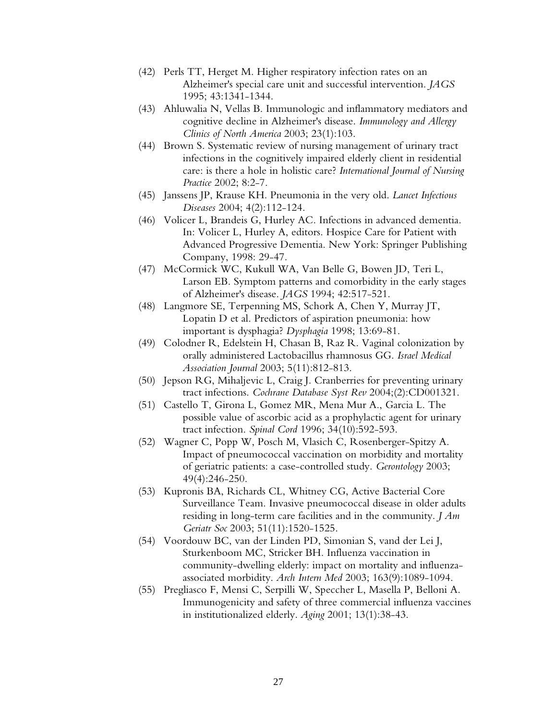- (42) Perls TT, Herget M. Higher respiratory infection rates on an Alzheimer's special care unit and successful intervention. *JAGS* 1995; 43:1341-1344.
- (43) Ahluwalia N, Vellas B. Immunologic and inflammatory mediators and cognitive decline in Alzheimer's disease. *Immunology and Allergy Clinics of North America* 2003; 23(1):103.
- (44) Brown S. Systematic review of nursing management of urinary tract infections in the cognitively impaired elderly client in residential care: is there a hole in holistic care? *International Journal of Nursing Practice* 2002; 8:2-7.
- (45) Janssens JP, Krause KH. Pneumonia in the very old. *Lancet Infectious Diseases* 2004; 4(2):112-124.
- (46) Volicer L, Brandeis G, Hurley AC. Infections in advanced dementia. In: Volicer L, Hurley A, editors. Hospice Care for Patient with Advanced Progressive Dementia. New York: Springer Publishing Company, 1998: 29-47.
- (47) McCormick WC, Kukull WA, Van Belle G, Bowen JD, Teri L, Larson EB. Symptom patterns and comorbidity in the early stages of Alzheimer's disease. *JAGS* 1994; 42:517-521.
- (48) Langmore SE, Terpenning MS, Schork A, Chen Y, Murray JT, Lopatin D et al. Predictors of aspiration pneumonia: how important is dysphagia? *Dysphagia* 1998; 13:69-81.
- (49) Colodner R, Edelstein H, Chasan B, Raz R. Vaginal colonization by orally administered Lactobacillus rhamnosus GG. *Israel Medical Association Journal* 2003; 5(11):812-813.
- (50) Jepson RG, Mihaljevic L, Craig J. Cranberries for preventing urinary tract infections. *Cochrane Database Syst Rev* 2004;(2):CD001321.
- (51) Castello T, Girona L, Gomez MR, Mena Mur A., Garcia L. The possible value of ascorbic acid as a prophylactic agent for urinary tract infection. *Spinal Cord* 1996; 34(10):592-593.
- (52) Wagner C, Popp W, Posch M, Vlasich C, Rosenberger-Spitzy A. Impact of pneumococcal vaccination on morbidity and mortality of geriatric patients: a case-controlled study. *Gerontology* 2003; 49(4):246-250.
- (53) Kupronis BA, Richards CL, Whitney CG, Active Bacterial Core Surveillance Team. Invasive pneumococcal disease in older adults residing in long-term care facilities and in the community. *J Am Geriatr Soc* 2003; 51(11):1520-1525.
- (54) Voordouw BC, van der Linden PD, Simonian S, vand der Lei J, Sturkenboom MC, Stricker BH. Influenza vaccination in community-dwelling elderly: impact on mortality and influenzaassociated morbidity. *Arch Intern Med* 2003; 163(9):1089-1094.
- (55) Pregliasco F, Mensi C, Serpilli W, Speccher L, Masella P, Belloni A. Immunogenicity and safety of three commercial influenza vaccines in institutionalized elderly. *Aging* 2001; 13(1):38-43.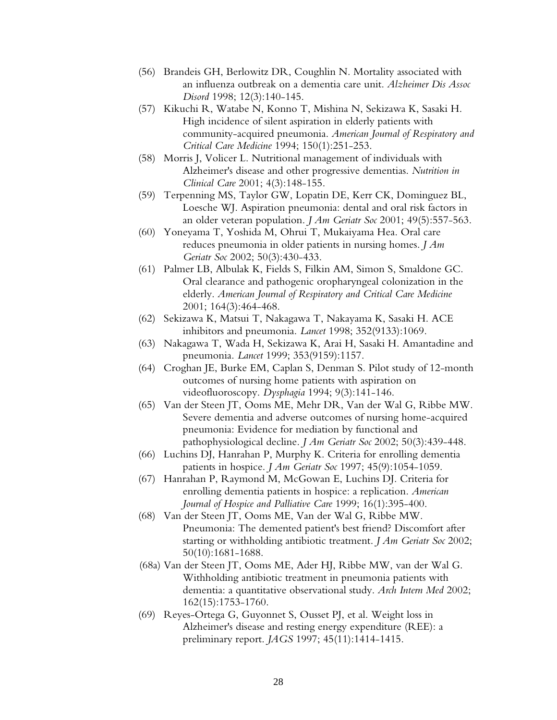- (56) Brandeis GH, Berlowitz DR, Coughlin N. Mortality associated with an influenza outbreak on a dementia care unit. *Alzheimer Dis Assoc Disord* 1998; 12(3):140-145.
- (57) Kikuchi R, Watabe N, Konno T, Mishina N, Sekizawa K, Sasaki H. High incidence of silent aspiration in elderly patients with community-acquired pneumonia. *American Journal of Respiratory and Critical Care Medicine* 1994; 150(1):251-253.
- (58) Morris J, Volicer L. Nutritional management of individuals with Alzheimer's disease and other progressive dementias. *Nutrition in Clinical Care* 2001; 4(3):148-155.
- (59) Terpenning MS, Taylor GW, Lopatin DE, Kerr CK, Dominguez BL, Loesche WJ. Aspiration pneumonia: dental and oral risk factors in an older veteran population. *J Am Geriatr Soc* 2001; 49(5):557-563.
- (60) Yoneyama T, Yoshida M, Ohrui T, Mukaiyama Hea. Oral care reduces pneumonia in older patients in nursing homes. *J Am Geriatr Soc* 2002; 50(3):430-433.
- (61) Palmer LB, Albulak K, Fields S, Filkin AM, Simon S, Smaldone GC. Oral clearance and pathogenic oropharyngeal colonization in the elderly. *American Journal of Respiratory and Critical Care Medicine* 2001; 164(3):464-468.
- (62) Sekizawa K, Matsui T, Nakagawa T, Nakayama K, Sasaki H. ACE inhibitors and pneumonia. *Lancet* 1998; 352(9133):1069.
- (63) Nakagawa T, Wada H, Sekizawa K, Arai H, Sasaki H. Amantadine and pneumonia. *Lancet* 1999; 353(9159):1157.
- (64) Croghan JE, Burke EM, Caplan S, Denman S. Pilot study of 12-month outcomes of nursing home patients with aspiration on videofluoroscopy. *Dysphagia* 1994; 9(3):141-146.
- (65) Van der Steen JT, Ooms ME, Mehr DR, Van der Wal G, Ribbe MW. Severe dementia and adverse outcomes of nursing home-acquired pneumonia: Evidence for mediation by functional and pathophysiological decline. *J Am Geriatr Soc* 2002; 50(3):439-448.
- (66) Luchins DJ, Hanrahan P, Murphy K. Criteria for enrolling dementia patients in hospice. *J Am Geriatr Soc* 1997; 45(9):1054-1059.
- (67) Hanrahan P, Raymond M, McGowan E, Luchins DJ. Criteria for enrolling dementia patients in hospice: a replication. *American Journal of Hospice and Palliative Care* 1999; 16(1):395-400.
- (68) Van der Steen JT, Ooms ME, Van der Wal G, Ribbe MW. Pneumonia: The demented patient's best friend? Discomfort after starting or withholding antibiotic treatment. *J Am Geriatr Soc* 2002; 50(10):1681-1688.
- (68a) Van der Steen JT, Ooms ME, Ader HJ, Ribbe MW, van der Wal G. Withholding antibiotic treatment in pneumonia patients with dementia: a quantitative observational study. *Arch Intern Med* 2002; 162(15):1753-1760.
- (69) Reyes-Ortega G, Guyonnet S, Ousset PJ, et al. Weight loss in Alzheimer's disease and resting energy expenditure (REE): a preliminary report. *JAGS* 1997; 45(11):1414-1415.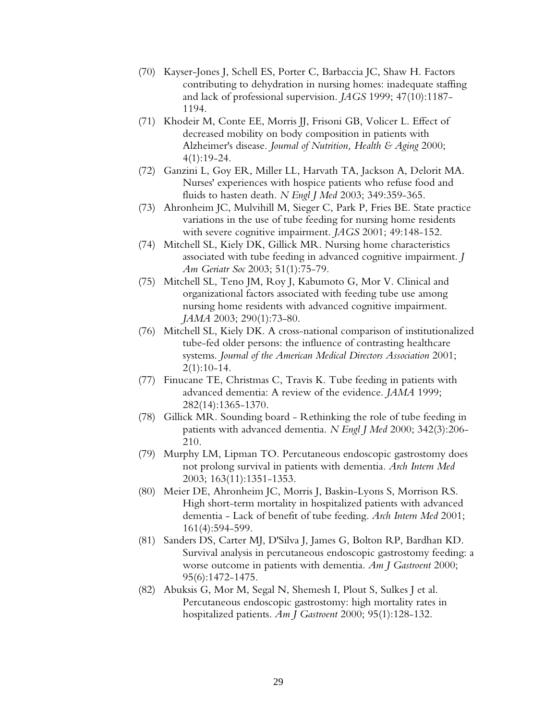- (70) Kayser-Jones J, Schell ES, Porter C, Barbaccia JC, Shaw H. Factors contributing to dehydration in nursing homes: inadequate staffing and lack of professional supervision. *JAGS* 1999; 47(10):1187- 1194.
- (71) Khodeir M, Conte EE, Morris JJ, Frisoni GB, Volicer L. Effect of decreased mobility on body composition in patients with Alzheimer's disease. *Journal of Nutrition, Health & Aging* 2000; 4(1):19-24.
- (72) Ganzini L, Goy ER, Miller LL, Harvath TA, Jackson A, Delorit MA. Nurses' experiences with hospice patients who refuse food and fluids to hasten death. *N Engl J Med* 2003; 349:359-365.
- (73) Ahronheim JC, Mulvihill M, Sieger C, Park P, Fries BE. State practice variations in the use of tube feeding for nursing home residents with severe cognitive impairment. *JAGS* 2001; 49:148-152.
- (74) Mitchell SL, Kiely DK, Gillick MR. Nursing home characteristics associated with tube feeding in advanced cognitive impairment. *J Am Geriatr Soc* 2003; 51(1):75-79.
- (75) Mitchell SL, Teno JM, Roy J, Kabumoto G, Mor V. Clinical and organizational factors associated with feeding tube use among nursing home residents with advanced cognitive impairment. *JAMA* 2003; 290(1):73-80.
- (76) Mitchell SL, Kiely DK. A cross-national comparison of institutionalized tube-fed older persons: the influence of contrasting healthcare systems. *Journal of the American Medical Directors Association* 2001; 2(1):10-14.
- (77) Finucane TE, Christmas C, Travis K. Tube feeding in patients with advanced dementia: A review of the evidence. *JAMA* 1999; 282(14):1365-1370.
- (78) Gillick MR. Sounding board Rethinking the role of tube feeding in patients with advanced dementia. *N Engl J Med* 2000; 342(3):206- 210.
- (79) Murphy LM, Lipman TO. Percutaneous endoscopic gastrostomy does not prolong survival in patients with dementia. *Arch Intern Med* 2003; 163(11):1351-1353.
- (80) Meier DE, Ahronheim JC, Morris J, Baskin-Lyons S, Morrison RS. High short-term mortality in hospitalized patients with advanced dementia - Lack of benefit of tube feeding. *Arch Intern Med* 2001; 161(4):594-599.
- (81) Sanders DS, Carter MJ, D'Silva J, James G, Bolton RP, Bardhan KD. Survival analysis in percutaneous endoscopic gastrostomy feeding: a worse outcome in patients with dementia. *Am J Gastroent* 2000; 95(6):1472-1475.
- (82) Abuksis G, Mor M, Segal N, Shemesh I, Plout S, Sulkes J et al. Percutaneous endoscopic gastrostomy: high mortality rates in hospitalized patients. *Am J Gastroent* 2000; 95(1):128-132.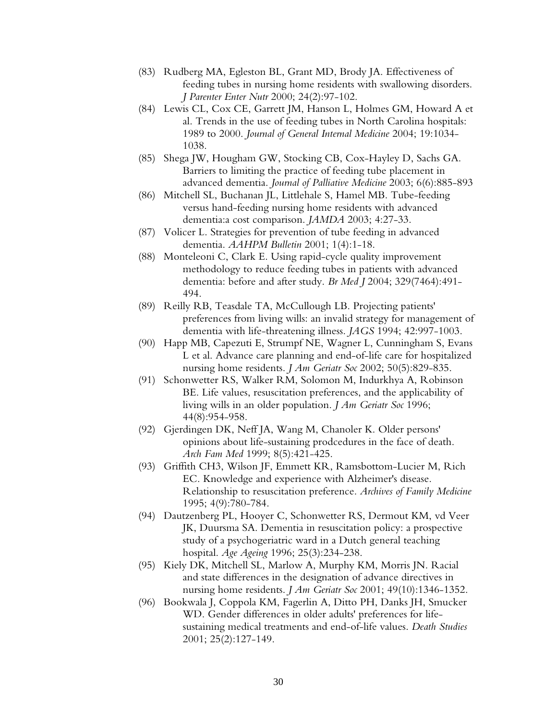- (83) Rudberg MA, Egleston BL, Grant MD, Brody JA. Effectiveness of feeding tubes in nursing home residents with swallowing disorders. *J Parenter Enter Nutr* 2000; 24(2):97-102.
- (84) Lewis CL, Cox CE, Garrett JM, Hanson L, Holmes GM, Howard A et al. Trends in the use of feeding tubes in North Carolina hospitals: 1989 to 2000. *Journal of General Internal Medicine* 2004; 19:1034- 1038.
- (85) Shega JW, Hougham GW, Stocking CB, Cox-Hayley D, Sachs GA. Barriers to limiting the practice of feeding tube placement in advanced dementia. *Journal of Palliative Medicine* 2003; 6(6):885-893
- (86) Mitchell SL, Buchanan JL, Littlehale S, Hamel MB. Tube-feeding versus hand-feeding nursing home residents with advanced dementia:a cost comparison. *JAMDA* 2003; 4:27-33.
- (87) Volicer L. Strategies for prevention of tube feeding in advanced dementia. *AAHPM Bulletin* 2001; 1(4):1-18.
- (88) Monteleoni C, Clark E. Using rapid-cycle quality improvement methodology to reduce feeding tubes in patients with advanced dementia: before and after study. *Br Med J* 2004; 329(7464):491- 494.
- (89) Reilly RB, Teasdale TA, McCullough LB. Projecting patients' preferences from living wills: an invalid strategy for management of dementia with life-threatening illness. *JAGS* 1994; 42:997-1003.
- (90) Happ MB, Capezuti E, Strumpf NE, Wagner L, Cunningham S, Evans L et al. Advance care planning and end-of-life care for hospitalized nursing home residents. *J Am Geriatr Soc* 2002; 50(5):829-835.
- (91) Schonwetter RS, Walker RM, Solomon M, Indurkhya A, Robinson BE. Life values, resuscitation preferences, and the applicability of living wills in an older population. *J Am Geriatr Soc* 1996; 44(8):954-958.
- (92) Gjerdingen DK, Neff JA, Wang M, Chanoler K. Older persons' opinions about life-sustaining prodcedures in the face of death. *Arch Fam Med* 1999; 8(5):421-425.
- (93) Griffith CH3, Wilson JF, Emmett KR, Ramsbottom-Lucier M, Rich EC. Knowledge and experience with Alzheimer's disease. Relationship to resuscitation preference. *Archives of Family Medicine* 1995; 4(9):780-784.
- (94) Dautzenberg PL, Hooyer C, Schonwetter RS, Dermout KM, vd Veer JK, Duursma SA. Dementia in resuscitation policy: a prospective study of a psychogeriatric ward in a Dutch general teaching hospital. *Age Ageing* 1996; 25(3):234-238.
- (95) Kiely DK, Mitchell SL, Marlow A, Murphy KM, Morris JN. Racial and state differences in the designation of advance directives in nursing home residents. *J Am Geriatr Soc* 2001; 49(10):1346-1352.
- (96) Bookwala J, Coppola KM, Fagerlin A, Ditto PH, Danks JH, Smucker WD. Gender differences in older adults' preferences for lifesustaining medical treatments and end-of-life values. *Death Studies* 2001; 25(2):127-149.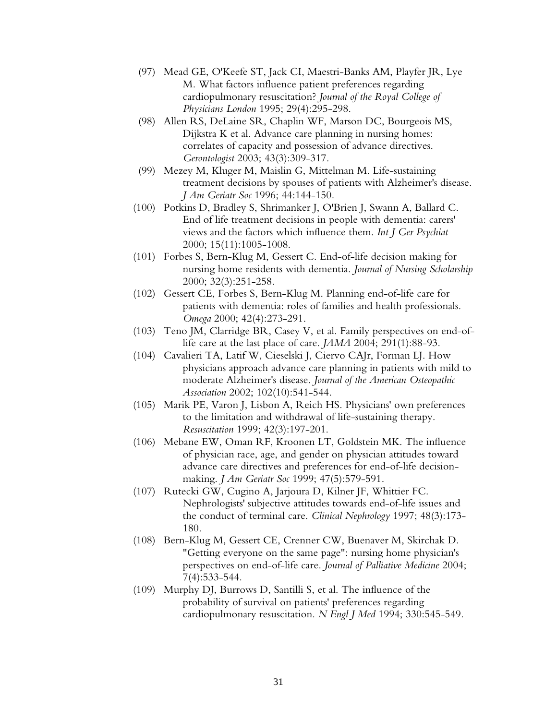- (97) Mead GE, O'Keefe ST, Jack CI, Maestri-Banks AM, Playfer JR, Lye M. What factors influence patient preferences regarding cardiopulmonary resuscitation? *Journal of the Royal College of Physicians London* 1995; 29(4):295-298.
- (98) Allen RS, DeLaine SR, Chaplin WF, Marson DC, Bourgeois MS, Dijkstra K et al. Advance care planning in nursing homes: correlates of capacity and possession of advance directives. *Gerontologist* 2003; 43(3):309-317.
- (99) Mezey M, Kluger M, Maislin G, Mittelman M. Life-sustaining treatment decisions by spouses of patients with Alzheimer's disease. *J Am Geriatr Soc* 1996; 44:144-150.
- (100) Potkins D, Bradley S, Shrimanker J, O'Brien J, Swann A, Ballard C. End of life treatment decisions in people with dementia: carers' views and the factors which influence them. *Int J Ger Psychiat* 2000; 15(11):1005-1008.
- (101) Forbes S, Bern-Klug M, Gessert C. End-of-life decision making for nursing home residents with dementia. *Journal of Nursing Scholarship* 2000; 32(3):251-258.
- (102) Gessert CE, Forbes S, Bern-Klug M. Planning end-of-life care for patients with dementia: roles of families and health professionals. *Omega* 2000; 42(4):273-291.
- (103) Teno JM, Clarridge BR, Casey V, et al. Family perspectives on end-oflife care at the last place of care. *JAMA* 2004; 291(1):88-93.
- (104) Cavalieri TA, Latif W, Cieselski J, Ciervo CAJr, Forman LJ. How physicians approach advance care planning in patients with mild to moderate Alzheimer's disease. *Journal of the American Osteopathic Association* 2002; 102(10):541-544.
- (105) Marik PE, Varon J, Lisbon A, Reich HS. Physicians' own preferences to the limitation and withdrawal of life-sustaining therapy. *Resuscitation* 1999; 42(3):197-201.
- (106) Mebane EW, Oman RF, Kroonen LT, Goldstein MK. The influence of physician race, age, and gender on physician attitudes toward advance care directives and preferences for end-of-life decisionmaking. *J Am Geriatr Soc* 1999; 47(5):579-591.
- (107) Rutecki GW, Cugino A, Jarjoura D, Kilner JF, Whittier FC. Nephrologists' subjective attitudes towards end-of-life issues and the conduct of terminal care. *Clinical Nephrology* 1997; 48(3):173- 180.
- (108) Bern-Klug M, Gessert CE, Crenner CW, Buenaver M, Skirchak D. "Getting everyone on the same page": nursing home physician's perspectives on end-of-life care. *Journal of Palliative Medicine* 2004; 7(4):533-544.
- (109) Murphy DJ, Burrows D, Santilli S, et al. The influence of the probability of survival on patients' preferences regarding cardiopulmonary resuscitation. *N Engl J Med* 1994; 330:545-549.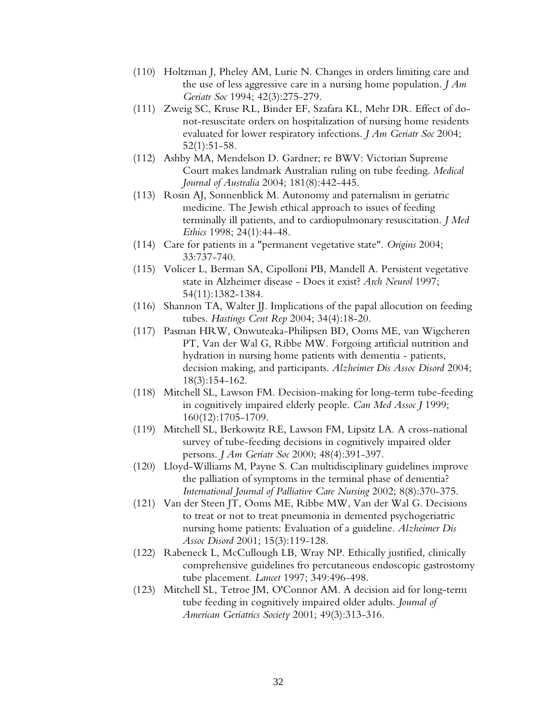- (110) Holtzman J, Pheley AM, Lurie N. Changes in orders limiting care and the use of less aggressive care in a nursing home population. *J Am Geriatr Soc* 1994; 42(3):275-279.
- (111) Zweig SC, Kruse RL, Binder EF, Szafara KL, Mehr DR. Effect of donot-resuscitate orders on hospitalization of nursing home residents evaluated for lower respiratory infections. *J Am Geriatr Soc* 2004; 52(1):51-58.
- (112) Ashby MA, Mendelson D. Gardner; re BWV: Victorian Supreme Court makes landmark Australian ruling on tube feeding. *Medical Journal of Australia* 2004; 181(8):442-445.
- (113) Rosin AJ, Sonnenblick M. Autonomy and paternalism in geriatric medicine. The Jewish ethical approach to issues of feeding terminally ill patients, and to cardiopulmonary resuscitation. *J Med Ethics* 1998; 24(1):44-48.
- (114) Care for patients in a "permanent vegetative state". *Origins* 2004; 33:737-740.
- (115) Volicer L, Berman SA, Cipolloni PB, Mandell A. Persistent vegetative state in Alzheimer disease - Does it exist? *Arch Neurol* 1997; 54(11):1382-1384.
- (116) Shannon TA, Walter JJ. Implications of the papal allocution on feeding tubes. *Hastings Cent Rep* 2004; 34(4):18-20.
- (117) Pasman HRW, Onwuteaka-Philipsen BD, Ooms ME, van Wigcheren PT, Van der Wal G, Ribbe MW. Forgoing artificial nutrition and hydration in nursing home patients with dementia - patients, decision making, and participants. *Alzheimer Dis Assoc Disord* 2004; 18(3):154-162.
- (118) Mitchell SL, Lawson FM. Decision-making for long-term tube-feeding in cognitively impaired elderly people. *Can Med Assoc J* 1999; 160(12):1705-1709.
- (119) Mitchell SL, Berkowitz RE, Lawson FM, Lipsitz LA. A cross-national survey of tube-feeding decisions in cognitively impaired older persons. *J Am Geriatr Soc* 2000; 48(4):391-397.
- (120) Lloyd-Williams M, Payne S. Can multidisciplinary guidelines improve the palliation of symptoms in the terminal phase of dementia? *International Journal of Palliative Care Nursing* 2002; 8(8):370-375.
- (121) Van der Steen JT, Ooms ME, Ribbe MW, Van der Wal G. Decisions to treat or not to treat pneumonia in demented psychogeriatric nursing home patients: Evaluation of a guideline. *Alzheimer Dis Assoc Disord* 2001; 15(3):119-128.
- (122) Rabeneck L, McCullough LB, Wray NP. Ethically justified, clinically comprehensive guidelines fro percutaneous endoscopic gastrostomy tube placement. *Lancet* 1997; 349:496-498.
- (123) Mitchell SL, Tetroe JM, O'Connor AM. A decision aid for long-term tube feeding in cognitively impaired older adults. *Journal of American Geriatrics Society* 2001; 49(3):313-316.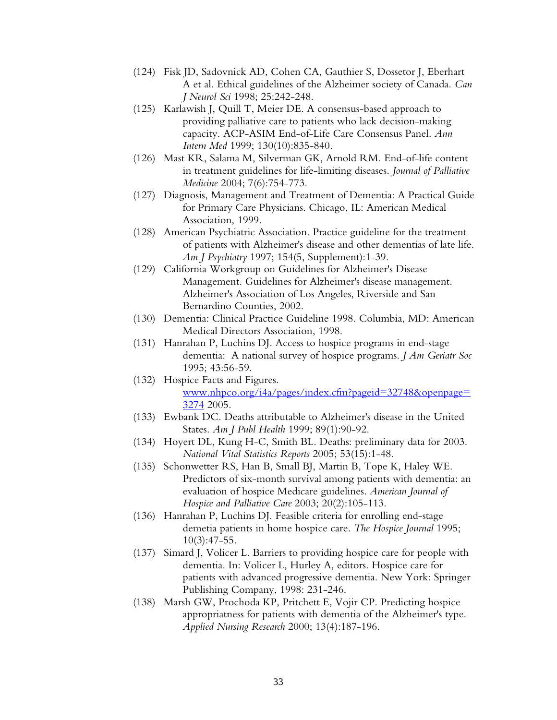- (124) Fisk JD, Sadovnick AD, Cohen CA, Gauthier S, Dossetor J, Eberhart A et al. Ethical guidelines of the Alzheimer society of Canada. *Can J Neurol Sci* 1998; 25:242-248.
- (125) Karlawish J, Quill T, Meier DE. A consensus-based approach to providing palliative care to patients who lack decision-making capacity. ACP-ASIM End-of-Life Care Consensus Panel. *Ann Intern Med* 1999; 130(10):835-840.
- (126) Mast KR, Salama M, Silverman GK, Arnold RM. End-of-life content in treatment guidelines for life-limiting diseases. *Journal of Palliative Medicine* 2004; 7(6):754-773.
- (127) Diagnosis, Management and Treatment of Dementia: A Practical Guide for Primary Care Physicians. Chicago, IL: American Medical Association, 1999.
- (128) American Psychiatric Association. Practice guideline for the treatment of patients with Alzheimer's disease and other dementias of late life. *Am J Psychiatry* 1997; 154(5, Supplement):1-39.
- (129) California Workgroup on Guidelines for Alzheimer's Disease Management. Guidelines for Alzheimer's disease management. Alzheimer's Association of Los Angeles, Riverside and San Bernardino Counties, 2002.
- (130) Dementia: Clinical Practice Guideline 1998. Columbia, MD: American Medical Directors Association, 1998.
- (131) Hanrahan P, Luchins DJ. Access to hospice programs in end-stage dementia: A national survey of hospice programs. *J Am Geriatr Soc* 1995; 43:56-59.
- (132) Hospice Facts and Figures. www.nhpco.org/i4a/pages/index.cfm?pageid=32748&openpage= 3274 2005.
- (133) Ewbank DC. Deaths attributable to Alzheimer's disease in the United States. *Am J Publ Health* 1999; 89(1):90-92.
- (134) Hoyert DL, Kung H-C, Smith BL. Deaths: preliminary data for 2003. *National Vital Statistics Reports* 2005; 53(15):1-48.
- (135) Schonwetter RS, Han B, Small BJ, Martin B, Tope K, Haley WE. Predictors of six-month survival among patients with dementia: an evaluation of hospice Medicare guidelines. *American Journal of Hospice and Palliative Care* 2003; 20(2):105-113.
- (136) Hanrahan P, Luchins DJ. Feasible criteria for enrolling end-stage demetia patients in home hospice care. *The Hospice Journal* 1995; 10(3):47-55.
- (137) Simard J, Volicer L. Barriers to providing hospice care for people with dementia. In: Volicer L, Hurley A, editors. Hospice care for patients with advanced progressive dementia. New York: Springer Publishing Company, 1998: 231-246.
- (138) Marsh GW, Prochoda KP, Pritchett E, Vojir CP. Predicting hospice appropriatness for patients with dementia of the Alzheimer's type. *Applied Nursing Research* 2000; 13(4):187-196.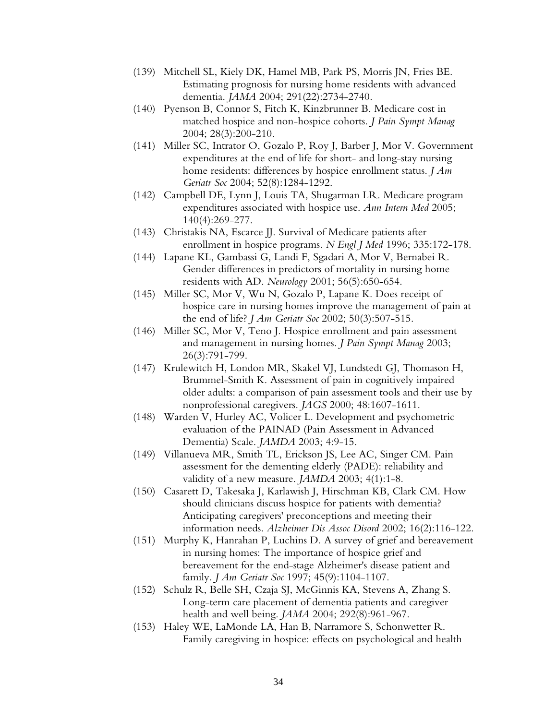- (139) Mitchell SL, Kiely DK, Hamel MB, Park PS, Morris JN, Fries BE. Estimating prognosis for nursing home residents with advanced dementia. *JAMA* 2004; 291(22):2734-2740.
- (140) Pyenson B, Connor S, Fitch K, Kinzbrunner B. Medicare cost in matched hospice and non-hospice cohorts. *J Pain Sympt Manag* 2004; 28(3):200-210.
- (141) Miller SC, Intrator O, Gozalo P, Roy J, Barber J, Mor V. Government expenditures at the end of life for short- and long-stay nursing home residents: differences by hospice enrollment status. *J Am Geriatr Soc* 2004; 52(8):1284-1292.
- (142) Campbell DE, Lynn J, Louis TA, Shugarman LR. Medicare program expenditures associated with hospice use. *Ann Intern Med* 2005; 140(4):269-277.
- (143) Christakis NA, Escarce JJ. Survival of Medicare patients after enrollment in hospice programs. *N Engl J Med* 1996; 335:172-178.
- (144) Lapane KL, Gambassi G, Landi F, Sgadari A, Mor V, Bernabei R. Gender differences in predictors of mortality in nursing home residents with AD. *Neurology* 2001; 56(5):650-654.
- (145) Miller SC, Mor V, Wu N, Gozalo P, Lapane K. Does receipt of hospice care in nursing homes improve the management of pain at the end of life? *J Am Geriatr Soc* 2002; 50(3):507-515.
- (146) Miller SC, Mor V, Teno J. Hospice enrollment and pain assessment and management in nursing homes. *J Pain Sympt Manag* 2003; 26(3):791-799.
- (147) Krulewitch H, London MR, Skakel VJ, Lundstedt GJ, Thomason H, Brummel-Smith K. Assessment of pain in cognitively impaired older adults: a comparison of pain assessment tools and their use by nonprofessional caregivers. *JAGS* 2000; 48:1607-1611.
- (148) Warden V, Hurley AC, Volicer L. Development and psychometric evaluation of the PAINAD (Pain Assessment in Advanced Dementia) Scale. *JAMDA* 2003; 4:9-15.
- (149) Villanueva MR, Smith TL, Erickson JS, Lee AC, Singer CM. Pain assessment for the dementing elderly (PADE): reliability and validity of a new measure. *JAMDA* 2003; 4(1):1-8.
- (150) Casarett D, Takesaka J, Karlawish J, Hirschman KB, Clark CM. How should clinicians discuss hospice for patients with dementia? Anticipating caregivers' preconceptions and meeting their information needs. *Alzheimer Dis Assoc Disord* 2002; 16(2):116-122.
- (151) Murphy K, Hanrahan P, Luchins D. A survey of grief and bereavement in nursing homes: The importance of hospice grief and bereavement for the end-stage Alzheimer's disease patient and family. *J Am Geriatr Soc* 1997; 45(9):1104-1107.
- (152) Schulz R, Belle SH, Czaja SJ, McGinnis KA, Stevens A, Zhang S. Long-term care placement of dementia patients and caregiver health and well being. *JAMA* 2004; 292(8):961-967.
- (153) Haley WE, LaMonde LA, Han B, Narramore S, Schonwetter R. Family caregiving in hospice: effects on psychological and health